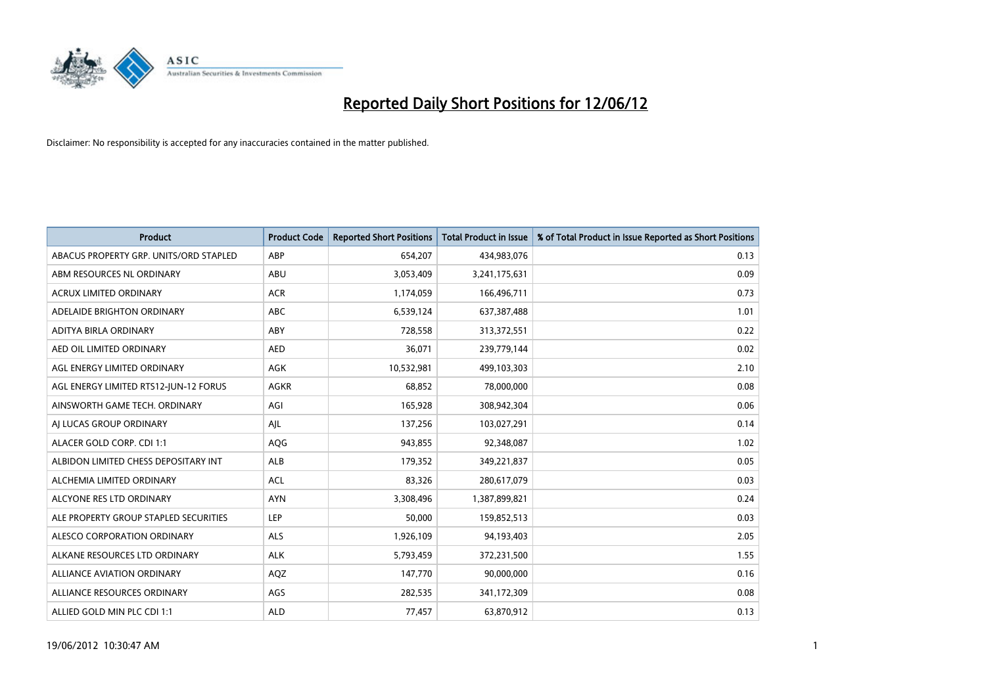

| <b>Product</b>                         | <b>Product Code</b> | <b>Reported Short Positions</b> | <b>Total Product in Issue</b> | % of Total Product in Issue Reported as Short Positions |
|----------------------------------------|---------------------|---------------------------------|-------------------------------|---------------------------------------------------------|
| ABACUS PROPERTY GRP. UNITS/ORD STAPLED | ABP                 | 654,207                         | 434,983,076                   | 0.13                                                    |
| ABM RESOURCES NL ORDINARY              | ABU                 | 3,053,409                       | 3,241,175,631                 | 0.09                                                    |
| <b>ACRUX LIMITED ORDINARY</b>          | <b>ACR</b>          | 1,174,059                       | 166,496,711                   | 0.73                                                    |
| ADELAIDE BRIGHTON ORDINARY             | <b>ABC</b>          | 6,539,124                       | 637,387,488                   | 1.01                                                    |
| ADITYA BIRLA ORDINARY                  | ABY                 | 728,558                         | 313,372,551                   | 0.22                                                    |
| AED OIL LIMITED ORDINARY               | <b>AED</b>          | 36,071                          | 239,779,144                   | 0.02                                                    |
| AGL ENERGY LIMITED ORDINARY            | AGK                 | 10,532,981                      | 499,103,303                   | 2.10                                                    |
| AGL ENERGY LIMITED RTS12-JUN-12 FORUS  | <b>AGKR</b>         | 68,852                          | 78,000,000                    | 0.08                                                    |
| AINSWORTH GAME TECH. ORDINARY          | AGI                 | 165,928                         | 308,942,304                   | 0.06                                                    |
| AI LUCAS GROUP ORDINARY                | AJL                 | 137,256                         | 103,027,291                   | 0.14                                                    |
| ALACER GOLD CORP. CDI 1:1              | AQG                 | 943,855                         | 92,348,087                    | 1.02                                                    |
| ALBIDON LIMITED CHESS DEPOSITARY INT   | ALB                 | 179,352                         | 349,221,837                   | 0.05                                                    |
| ALCHEMIA LIMITED ORDINARY              | <b>ACL</b>          | 83,326                          | 280,617,079                   | 0.03                                                    |
| ALCYONE RES LTD ORDINARY               | <b>AYN</b>          | 3,308,496                       | 1,387,899,821                 | 0.24                                                    |
| ALE PROPERTY GROUP STAPLED SECURITIES  | <b>LEP</b>          | 50,000                          | 159,852,513                   | 0.03                                                    |
| ALESCO CORPORATION ORDINARY            | ALS                 | 1,926,109                       | 94,193,403                    | 2.05                                                    |
| ALKANE RESOURCES LTD ORDINARY          | <b>ALK</b>          | 5,793,459                       | 372,231,500                   | 1.55                                                    |
| ALLIANCE AVIATION ORDINARY             | AQZ                 | 147,770                         | 90,000,000                    | 0.16                                                    |
| ALLIANCE RESOURCES ORDINARY            | AGS                 | 282,535                         | 341,172,309                   | 0.08                                                    |
| ALLIED GOLD MIN PLC CDI 1:1            | <b>ALD</b>          | 77,457                          | 63,870,912                    | 0.13                                                    |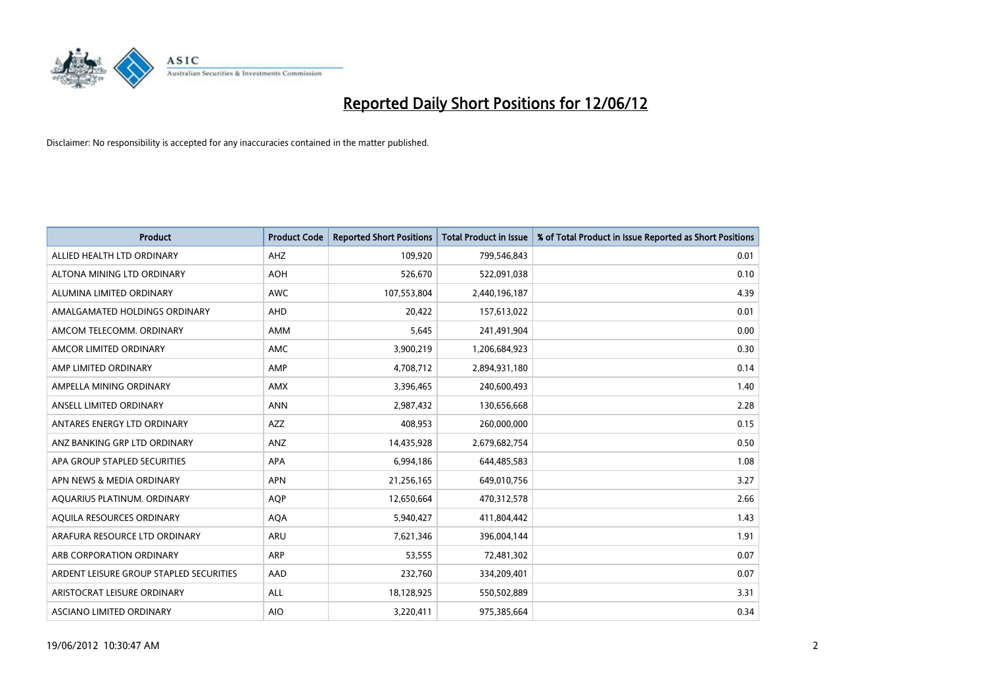

| <b>Product</b>                          | <b>Product Code</b> | <b>Reported Short Positions</b> | <b>Total Product in Issue</b> | % of Total Product in Issue Reported as Short Positions |
|-----------------------------------------|---------------------|---------------------------------|-------------------------------|---------------------------------------------------------|
| ALLIED HEALTH LTD ORDINARY              | AHZ                 | 109,920                         | 799,546,843                   | 0.01                                                    |
| ALTONA MINING LTD ORDINARY              | <b>AOH</b>          | 526,670                         | 522,091,038                   | 0.10                                                    |
| ALUMINA LIMITED ORDINARY                | <b>AWC</b>          | 107,553,804                     | 2,440,196,187                 | 4.39                                                    |
| AMALGAMATED HOLDINGS ORDINARY           | <b>AHD</b>          | 20,422                          | 157,613,022                   | 0.01                                                    |
| AMCOM TELECOMM, ORDINARY                | <b>AMM</b>          | 5,645                           | 241,491,904                   | 0.00                                                    |
| AMCOR LIMITED ORDINARY                  | <b>AMC</b>          | 3,900,219                       | 1,206,684,923                 | 0.30                                                    |
| AMP LIMITED ORDINARY                    | AMP                 | 4,708,712                       | 2,894,931,180                 | 0.14                                                    |
| AMPELLA MINING ORDINARY                 | AMX                 | 3,396,465                       | 240,600,493                   | 1.40                                                    |
| ANSELL LIMITED ORDINARY                 | <b>ANN</b>          | 2,987,432                       | 130,656,668                   | 2.28                                                    |
| ANTARES ENERGY LTD ORDINARY             | AZZ                 | 408,953                         | 260,000,000                   | 0.15                                                    |
| ANZ BANKING GRP LTD ORDINARY            | ANZ                 | 14,435,928                      | 2,679,682,754                 | 0.50                                                    |
| APA GROUP STAPLED SECURITIES            | APA                 | 6,994,186                       | 644,485,583                   | 1.08                                                    |
| APN NEWS & MEDIA ORDINARY               | <b>APN</b>          | 21,256,165                      | 649,010,756                   | 3.27                                                    |
| AQUARIUS PLATINUM. ORDINARY             | <b>AOP</b>          | 12,650,664                      | 470,312,578                   | 2.66                                                    |
| AQUILA RESOURCES ORDINARY               | <b>AQA</b>          | 5,940,427                       | 411,804,442                   | 1.43                                                    |
| ARAFURA RESOURCE LTD ORDINARY           | ARU                 | 7,621,346                       | 396,004,144                   | 1.91                                                    |
| ARB CORPORATION ORDINARY                | ARP                 | 53,555                          | 72,481,302                    | 0.07                                                    |
| ARDENT LEISURE GROUP STAPLED SECURITIES | AAD                 | 232,760                         | 334,209,401                   | 0.07                                                    |
| ARISTOCRAT LEISURE ORDINARY             | ALL                 | 18,128,925                      | 550,502,889                   | 3.31                                                    |
| ASCIANO LIMITED ORDINARY                | <b>AIO</b>          | 3,220,411                       | 975,385,664                   | 0.34                                                    |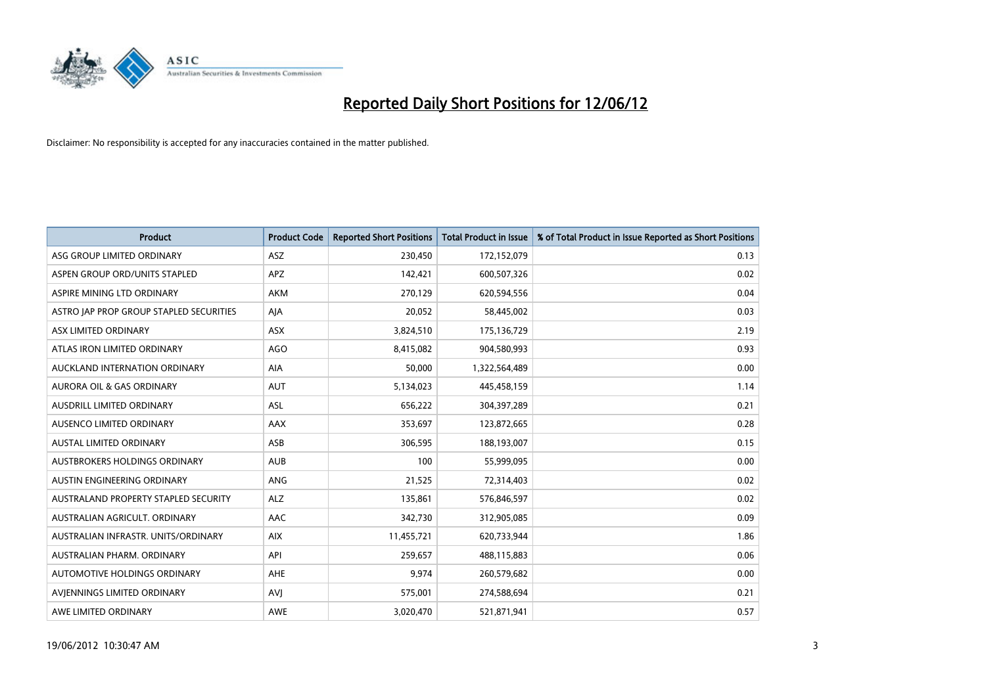

| <b>Product</b>                          | <b>Product Code</b> | <b>Reported Short Positions</b> | <b>Total Product in Issue</b> | % of Total Product in Issue Reported as Short Positions |
|-----------------------------------------|---------------------|---------------------------------|-------------------------------|---------------------------------------------------------|
| ASG GROUP LIMITED ORDINARY              | ASZ                 | 230,450                         | 172,152,079                   | 0.13                                                    |
| ASPEN GROUP ORD/UNITS STAPLED           | <b>APZ</b>          | 142,421                         | 600,507,326                   | 0.02                                                    |
| ASPIRE MINING LTD ORDINARY              | <b>AKM</b>          | 270,129                         | 620,594,556                   | 0.04                                                    |
| ASTRO JAP PROP GROUP STAPLED SECURITIES | AJA                 | 20,052                          | 58,445,002                    | 0.03                                                    |
| ASX LIMITED ORDINARY                    | ASX                 | 3,824,510                       | 175,136,729                   | 2.19                                                    |
| ATLAS IRON LIMITED ORDINARY             | <b>AGO</b>          | 8,415,082                       | 904,580,993                   | 0.93                                                    |
| AUCKLAND INTERNATION ORDINARY           | AIA                 | 50,000                          | 1,322,564,489                 | 0.00                                                    |
| AURORA OIL & GAS ORDINARY               | AUT                 | 5,134,023                       | 445,458,159                   | 1.14                                                    |
| AUSDRILL LIMITED ORDINARY               | ASL                 | 656,222                         | 304,397,289                   | 0.21                                                    |
| AUSENCO LIMITED ORDINARY                | <b>AAX</b>          | 353,697                         | 123,872,665                   | 0.28                                                    |
| <b>AUSTAL LIMITED ORDINARY</b>          | ASB                 | 306,595                         | 188,193,007                   | 0.15                                                    |
| AUSTBROKERS HOLDINGS ORDINARY           | <b>AUB</b>          | 100                             | 55,999,095                    | 0.00                                                    |
| AUSTIN ENGINEERING ORDINARY             | ANG                 | 21,525                          | 72,314,403                    | 0.02                                                    |
| AUSTRALAND PROPERTY STAPLED SECURITY    | <b>ALZ</b>          | 135,861                         | 576,846,597                   | 0.02                                                    |
| AUSTRALIAN AGRICULT, ORDINARY           | AAC                 | 342,730                         | 312,905,085                   | 0.09                                                    |
| AUSTRALIAN INFRASTR, UNITS/ORDINARY     | <b>AIX</b>          | 11,455,721                      | 620,733,944                   | 1.86                                                    |
| AUSTRALIAN PHARM, ORDINARY              | API                 | 259,657                         | 488,115,883                   | 0.06                                                    |
| AUTOMOTIVE HOLDINGS ORDINARY            | AHE                 | 9,974                           | 260,579,682                   | 0.00                                                    |
| AVIENNINGS LIMITED ORDINARY             | <b>AVI</b>          | 575,001                         | 274,588,694                   | 0.21                                                    |
| AWE LIMITED ORDINARY                    | <b>AWE</b>          | 3,020,470                       | 521,871,941                   | 0.57                                                    |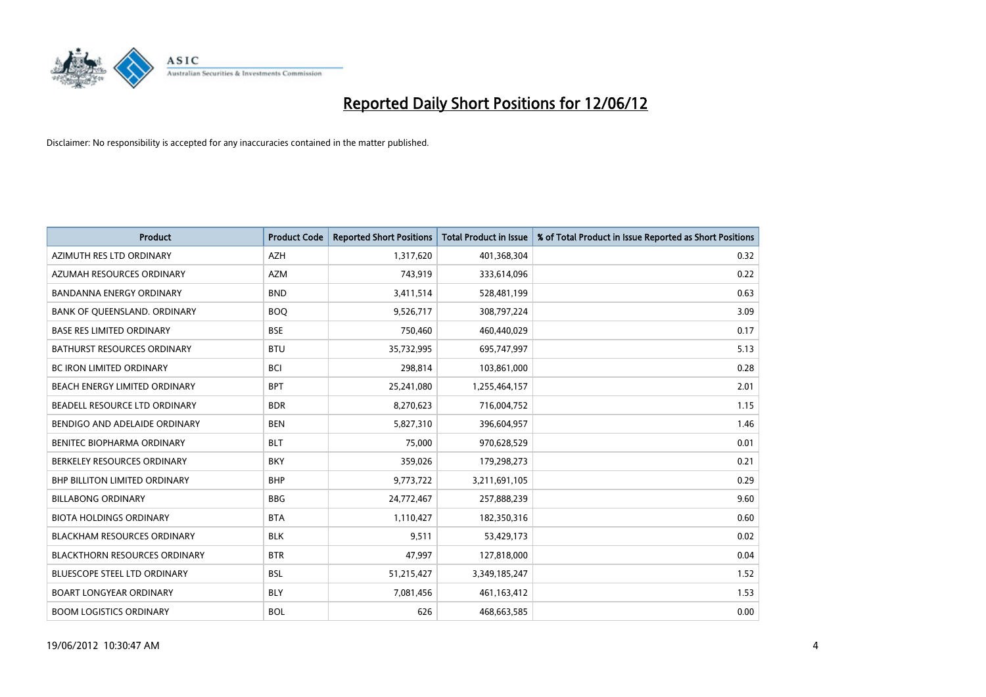

| <b>Product</b>                       | <b>Product Code</b> | <b>Reported Short Positions</b> | <b>Total Product in Issue</b> | % of Total Product in Issue Reported as Short Positions |
|--------------------------------------|---------------------|---------------------------------|-------------------------------|---------------------------------------------------------|
| AZIMUTH RES LTD ORDINARY             | <b>AZH</b>          | 1,317,620                       | 401,368,304                   | 0.32                                                    |
| AZUMAH RESOURCES ORDINARY            | <b>AZM</b>          | 743,919                         | 333,614,096                   | 0.22                                                    |
| <b>BANDANNA ENERGY ORDINARY</b>      | <b>BND</b>          | 3,411,514                       | 528,481,199                   | 0.63                                                    |
| BANK OF QUEENSLAND. ORDINARY         | <b>BOQ</b>          | 9,526,717                       | 308,797,224                   | 3.09                                                    |
| <b>BASE RES LIMITED ORDINARY</b>     | <b>BSE</b>          | 750,460                         | 460,440,029                   | 0.17                                                    |
| <b>BATHURST RESOURCES ORDINARY</b>   | <b>BTU</b>          | 35,732,995                      | 695,747,997                   | 5.13                                                    |
| <b>BC IRON LIMITED ORDINARY</b>      | <b>BCI</b>          | 298,814                         | 103,861,000                   | 0.28                                                    |
| BEACH ENERGY LIMITED ORDINARY        | <b>BPT</b>          | 25,241,080                      | 1,255,464,157                 | 2.01                                                    |
| BEADELL RESOURCE LTD ORDINARY        | <b>BDR</b>          | 8,270,623                       | 716,004,752                   | 1.15                                                    |
| BENDIGO AND ADELAIDE ORDINARY        | <b>BEN</b>          | 5,827,310                       | 396,604,957                   | 1.46                                                    |
| BENITEC BIOPHARMA ORDINARY           | <b>BLT</b>          | 75,000                          | 970,628,529                   | 0.01                                                    |
| BERKELEY RESOURCES ORDINARY          | <b>BKY</b>          | 359,026                         | 179,298,273                   | 0.21                                                    |
| <b>BHP BILLITON LIMITED ORDINARY</b> | <b>BHP</b>          | 9,773,722                       | 3,211,691,105                 | 0.29                                                    |
| <b>BILLABONG ORDINARY</b>            | <b>BBG</b>          | 24,772,467                      | 257,888,239                   | 9.60                                                    |
| <b>BIOTA HOLDINGS ORDINARY</b>       | <b>BTA</b>          | 1,110,427                       | 182,350,316                   | 0.60                                                    |
| BLACKHAM RESOURCES ORDINARY          | <b>BLK</b>          | 9,511                           | 53,429,173                    | 0.02                                                    |
| <b>BLACKTHORN RESOURCES ORDINARY</b> | <b>BTR</b>          | 47,997                          | 127,818,000                   | 0.04                                                    |
| BLUESCOPE STEEL LTD ORDINARY         | <b>BSL</b>          | 51,215,427                      | 3,349,185,247                 | 1.52                                                    |
| <b>BOART LONGYEAR ORDINARY</b>       | <b>BLY</b>          | 7,081,456                       | 461,163,412                   | 1.53                                                    |
| <b>BOOM LOGISTICS ORDINARY</b>       | <b>BOL</b>          | 626                             | 468,663,585                   | 0.00                                                    |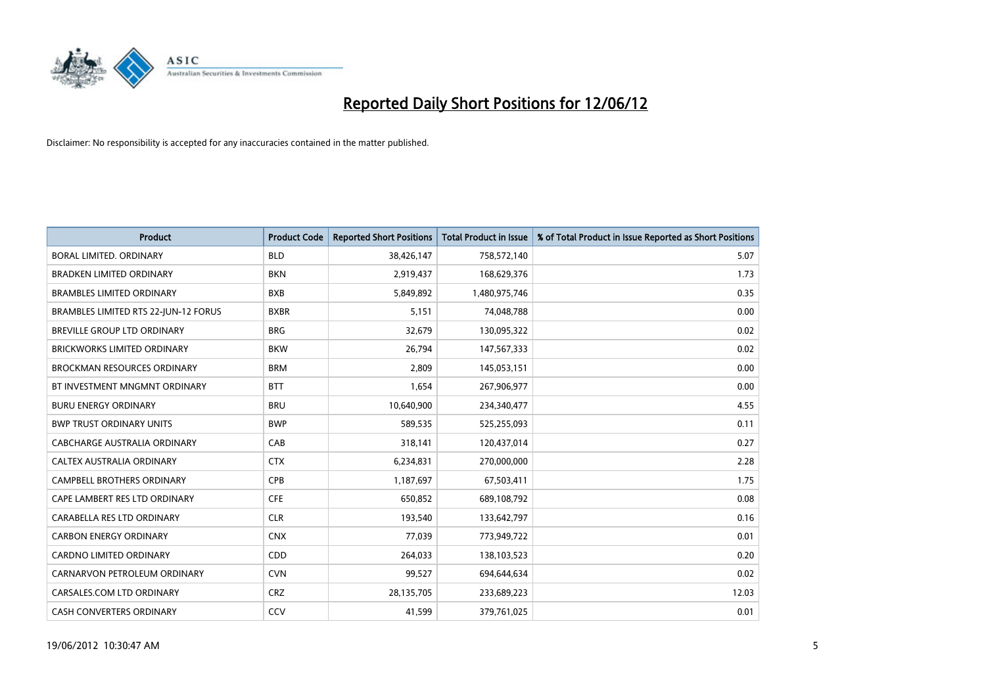

| <b>Product</b>                       | <b>Product Code</b> | <b>Reported Short Positions</b> | <b>Total Product in Issue</b> | % of Total Product in Issue Reported as Short Positions |
|--------------------------------------|---------------------|---------------------------------|-------------------------------|---------------------------------------------------------|
| <b>BORAL LIMITED, ORDINARY</b>       | <b>BLD</b>          | 38,426,147                      | 758,572,140                   | 5.07                                                    |
| <b>BRADKEN LIMITED ORDINARY</b>      | <b>BKN</b>          | 2,919,437                       | 168,629,376                   | 1.73                                                    |
| <b>BRAMBLES LIMITED ORDINARY</b>     | <b>BXB</b>          | 5,849,892                       | 1,480,975,746                 | 0.35                                                    |
| BRAMBLES LIMITED RTS 22-JUN-12 FORUS | <b>BXBR</b>         | 5,151                           | 74,048,788                    | 0.00                                                    |
| <b>BREVILLE GROUP LTD ORDINARY</b>   | <b>BRG</b>          | 32,679                          | 130,095,322                   | 0.02                                                    |
| <b>BRICKWORKS LIMITED ORDINARY</b>   | <b>BKW</b>          | 26,794                          | 147,567,333                   | 0.02                                                    |
| <b>BROCKMAN RESOURCES ORDINARY</b>   | <b>BRM</b>          | 2,809                           | 145,053,151                   | 0.00                                                    |
| BT INVESTMENT MNGMNT ORDINARY        | <b>BTT</b>          | 1,654                           | 267,906,977                   | 0.00                                                    |
| <b>BURU ENERGY ORDINARY</b>          | <b>BRU</b>          | 10,640,900                      | 234,340,477                   | 4.55                                                    |
| <b>BWP TRUST ORDINARY UNITS</b>      | <b>BWP</b>          | 589,535                         | 525,255,093                   | 0.11                                                    |
| CABCHARGE AUSTRALIA ORDINARY         | CAB                 | 318,141                         | 120,437,014                   | 0.27                                                    |
| CALTEX AUSTRALIA ORDINARY            | <b>CTX</b>          | 6,234,831                       | 270,000,000                   | 2.28                                                    |
| CAMPBELL BROTHERS ORDINARY           | <b>CPB</b>          | 1,187,697                       | 67,503,411                    | 1.75                                                    |
| CAPE LAMBERT RES LTD ORDINARY        | <b>CFE</b>          | 650,852                         | 689,108,792                   | 0.08                                                    |
| CARABELLA RES LTD ORDINARY           | <b>CLR</b>          | 193,540                         | 133,642,797                   | 0.16                                                    |
| <b>CARBON ENERGY ORDINARY</b>        | <b>CNX</b>          | 77,039                          | 773,949,722                   | 0.01                                                    |
| CARDNO LIMITED ORDINARY              | CDD                 | 264,033                         | 138,103,523                   | 0.20                                                    |
| CARNARVON PETROLEUM ORDINARY         | <b>CVN</b>          | 99,527                          | 694,644,634                   | 0.02                                                    |
| CARSALES.COM LTD ORDINARY            | <b>CRZ</b>          | 28,135,705                      | 233,689,223                   | 12.03                                                   |
| CASH CONVERTERS ORDINARY             | CCV                 | 41,599                          | 379,761,025                   | 0.01                                                    |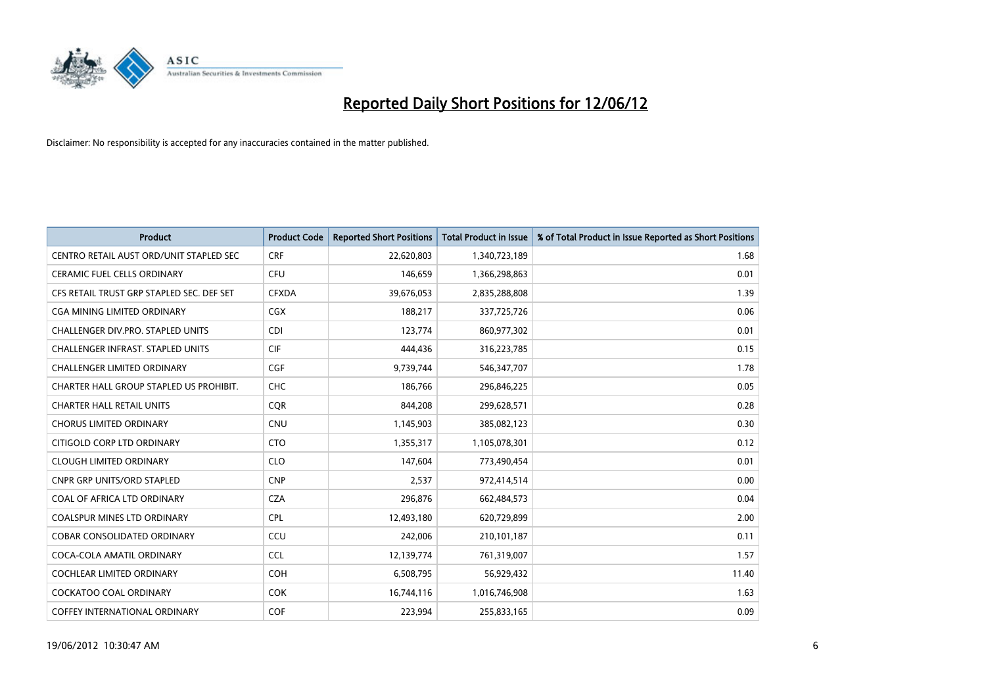

| <b>Product</b>                            | <b>Product Code</b> | <b>Reported Short Positions</b> | <b>Total Product in Issue</b> | % of Total Product in Issue Reported as Short Positions |
|-------------------------------------------|---------------------|---------------------------------|-------------------------------|---------------------------------------------------------|
| CENTRO RETAIL AUST ORD/UNIT STAPLED SEC   | <b>CRF</b>          | 22,620,803                      | 1,340,723,189                 | 1.68                                                    |
| CERAMIC FUEL CELLS ORDINARY               | <b>CFU</b>          | 146,659                         | 1,366,298,863                 | 0.01                                                    |
| CFS RETAIL TRUST GRP STAPLED SEC. DEF SET | <b>CFXDA</b>        | 39,676,053                      | 2,835,288,808                 | 1.39                                                    |
| CGA MINING LIMITED ORDINARY               | <b>CGX</b>          | 188,217                         | 337,725,726                   | 0.06                                                    |
| CHALLENGER DIV.PRO. STAPLED UNITS         | <b>CDI</b>          | 123,774                         | 860,977,302                   | 0.01                                                    |
| <b>CHALLENGER INFRAST, STAPLED UNITS</b>  | <b>CIF</b>          | 444,436                         | 316,223,785                   | 0.15                                                    |
| <b>CHALLENGER LIMITED ORDINARY</b>        | <b>CGF</b>          | 9,739,744                       | 546, 347, 707                 | 1.78                                                    |
| CHARTER HALL GROUP STAPLED US PROHIBIT.   | <b>CHC</b>          | 186,766                         | 296,846,225                   | 0.05                                                    |
| <b>CHARTER HALL RETAIL UNITS</b>          | <b>CQR</b>          | 844,208                         | 299,628,571                   | 0.28                                                    |
| <b>CHORUS LIMITED ORDINARY</b>            | <b>CNU</b>          | 1,145,903                       | 385,082,123                   | 0.30                                                    |
| CITIGOLD CORP LTD ORDINARY                | <b>CTO</b>          | 1,355,317                       | 1,105,078,301                 | 0.12                                                    |
| <b>CLOUGH LIMITED ORDINARY</b>            | <b>CLO</b>          | 147,604                         | 773,490,454                   | 0.01                                                    |
| <b>CNPR GRP UNITS/ORD STAPLED</b>         | <b>CNP</b>          | 2,537                           | 972,414,514                   | 0.00                                                    |
| COAL OF AFRICA LTD ORDINARY               | <b>CZA</b>          | 296,876                         | 662,484,573                   | 0.04                                                    |
| <b>COALSPUR MINES LTD ORDINARY</b>        | <b>CPL</b>          | 12,493,180                      | 620,729,899                   | 2.00                                                    |
| COBAR CONSOLIDATED ORDINARY               | CCU                 | 242,006                         | 210,101,187                   | 0.11                                                    |
| COCA-COLA AMATIL ORDINARY                 | <b>CCL</b>          | 12,139,774                      | 761,319,007                   | 1.57                                                    |
| COCHLEAR LIMITED ORDINARY                 | <b>COH</b>          | 6,508,795                       | 56,929,432                    | 11.40                                                   |
| <b>COCKATOO COAL ORDINARY</b>             | <b>COK</b>          | 16,744,116                      | 1,016,746,908                 | 1.63                                                    |
| <b>COFFEY INTERNATIONAL ORDINARY</b>      | <b>COF</b>          | 223,994                         | 255,833,165                   | 0.09                                                    |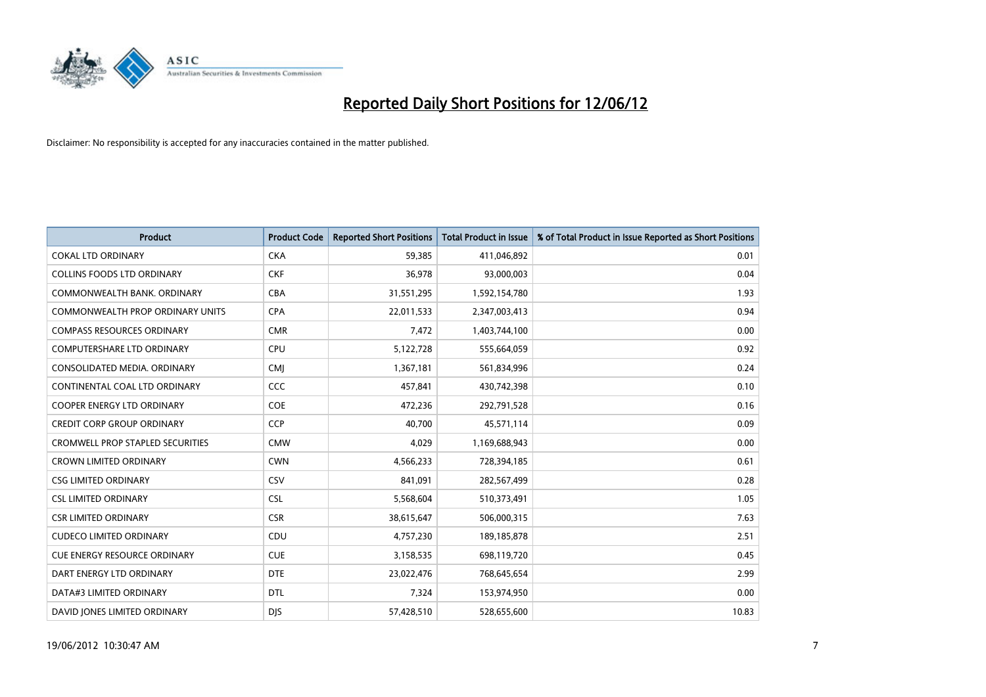

| <b>Product</b>                          | <b>Product Code</b> | <b>Reported Short Positions</b> | <b>Total Product in Issue</b> | % of Total Product in Issue Reported as Short Positions |
|-----------------------------------------|---------------------|---------------------------------|-------------------------------|---------------------------------------------------------|
| <b>COKAL LTD ORDINARY</b>               | <b>CKA</b>          | 59,385                          | 411,046,892                   | 0.01                                                    |
| <b>COLLINS FOODS LTD ORDINARY</b>       | <b>CKF</b>          | 36,978                          | 93,000,003                    | 0.04                                                    |
| COMMONWEALTH BANK, ORDINARY             | <b>CBA</b>          | 31,551,295                      | 1,592,154,780                 | 1.93                                                    |
| COMMONWEALTH PROP ORDINARY UNITS        | <b>CPA</b>          | 22,011,533                      | 2,347,003,413                 | 0.94                                                    |
| <b>COMPASS RESOURCES ORDINARY</b>       | <b>CMR</b>          | 7,472                           | 1,403,744,100                 | 0.00                                                    |
| COMPUTERSHARE LTD ORDINARY              | <b>CPU</b>          | 5,122,728                       | 555,664,059                   | 0.92                                                    |
| CONSOLIDATED MEDIA, ORDINARY            | <b>CMJ</b>          | 1,367,181                       | 561,834,996                   | 0.24                                                    |
| CONTINENTAL COAL LTD ORDINARY           | <b>CCC</b>          | 457,841                         | 430,742,398                   | 0.10                                                    |
| <b>COOPER ENERGY LTD ORDINARY</b>       | <b>COE</b>          | 472,236                         | 292,791,528                   | 0.16                                                    |
| <b>CREDIT CORP GROUP ORDINARY</b>       | CCP                 | 40,700                          | 45,571,114                    | 0.09                                                    |
| <b>CROMWELL PROP STAPLED SECURITIES</b> | <b>CMW</b>          | 4,029                           | 1,169,688,943                 | 0.00                                                    |
| <b>CROWN LIMITED ORDINARY</b>           | <b>CWN</b>          | 4,566,233                       | 728,394,185                   | 0.61                                                    |
| <b>CSG LIMITED ORDINARY</b>             | CSV                 | 841,091                         | 282,567,499                   | 0.28                                                    |
| <b>CSL LIMITED ORDINARY</b>             | <b>CSL</b>          | 5,568,604                       | 510,373,491                   | 1.05                                                    |
| <b>CSR LIMITED ORDINARY</b>             | <b>CSR</b>          | 38,615,647                      | 506,000,315                   | 7.63                                                    |
| <b>CUDECO LIMITED ORDINARY</b>          | CDU                 | 4,757,230                       | 189, 185, 878                 | 2.51                                                    |
| <b>CUE ENERGY RESOURCE ORDINARY</b>     | <b>CUE</b>          | 3,158,535                       | 698,119,720                   | 0.45                                                    |
| DART ENERGY LTD ORDINARY                | <b>DTE</b>          | 23,022,476                      | 768,645,654                   | 2.99                                                    |
| DATA#3 LIMITED ORDINARY                 | <b>DTL</b>          | 7,324                           | 153,974,950                   | 0.00                                                    |
| DAVID JONES LIMITED ORDINARY            | <b>DJS</b>          | 57,428,510                      | 528,655,600                   | 10.83                                                   |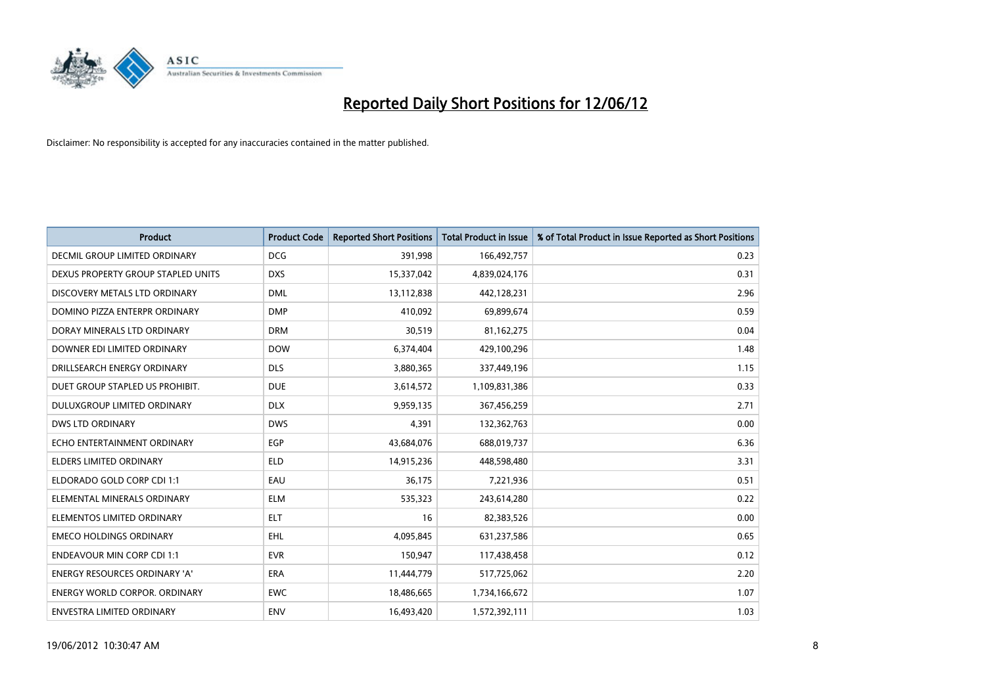

| <b>Product</b>                       | <b>Product Code</b> | <b>Reported Short Positions</b> | <b>Total Product in Issue</b> | % of Total Product in Issue Reported as Short Positions |
|--------------------------------------|---------------------|---------------------------------|-------------------------------|---------------------------------------------------------|
| <b>DECMIL GROUP LIMITED ORDINARY</b> | <b>DCG</b>          | 391,998                         | 166,492,757                   | 0.23                                                    |
| DEXUS PROPERTY GROUP STAPLED UNITS   | <b>DXS</b>          | 15,337,042                      | 4,839,024,176                 | 0.31                                                    |
| DISCOVERY METALS LTD ORDINARY        | <b>DML</b>          | 13,112,838                      | 442,128,231                   | 2.96                                                    |
| DOMINO PIZZA ENTERPR ORDINARY        | <b>DMP</b>          | 410,092                         | 69,899,674                    | 0.59                                                    |
| DORAY MINERALS LTD ORDINARY          | <b>DRM</b>          | 30,519                          | 81,162,275                    | 0.04                                                    |
| DOWNER EDI LIMITED ORDINARY          | <b>DOW</b>          | 6,374,404                       | 429,100,296                   | 1.48                                                    |
| DRILLSEARCH ENERGY ORDINARY          | <b>DLS</b>          | 3,880,365                       | 337,449,196                   | 1.15                                                    |
| DUET GROUP STAPLED US PROHIBIT.      | <b>DUE</b>          | 3,614,572                       | 1,109,831,386                 | 0.33                                                    |
| DULUXGROUP LIMITED ORDINARY          | <b>DLX</b>          | 9,959,135                       | 367,456,259                   | 2.71                                                    |
| DWS LTD ORDINARY                     | <b>DWS</b>          | 4,391                           | 132,362,763                   | 0.00                                                    |
| ECHO ENTERTAINMENT ORDINARY          | <b>EGP</b>          | 43,684,076                      | 688,019,737                   | 6.36                                                    |
| <b>ELDERS LIMITED ORDINARY</b>       | <b>ELD</b>          | 14,915,236                      | 448,598,480                   | 3.31                                                    |
| ELDORADO GOLD CORP CDI 1:1           | EAU                 | 36,175                          | 7,221,936                     | 0.51                                                    |
| ELEMENTAL MINERALS ORDINARY          | <b>ELM</b>          | 535,323                         | 243,614,280                   | 0.22                                                    |
| ELEMENTOS LIMITED ORDINARY           | <b>ELT</b>          | 16                              | 82,383,526                    | 0.00                                                    |
| <b>EMECO HOLDINGS ORDINARY</b>       | EHL                 | 4,095,845                       | 631,237,586                   | 0.65                                                    |
| <b>ENDEAVOUR MIN CORP CDI 1:1</b>    | <b>EVR</b>          | 150,947                         | 117,438,458                   | 0.12                                                    |
| ENERGY RESOURCES ORDINARY 'A'        | <b>ERA</b>          | 11,444,779                      | 517,725,062                   | 2.20                                                    |
| <b>ENERGY WORLD CORPOR, ORDINARY</b> | <b>EWC</b>          | 18,486,665                      | 1,734,166,672                 | 1.07                                                    |
| ENVESTRA LIMITED ORDINARY            | <b>ENV</b>          | 16,493,420                      | 1,572,392,111                 | 1.03                                                    |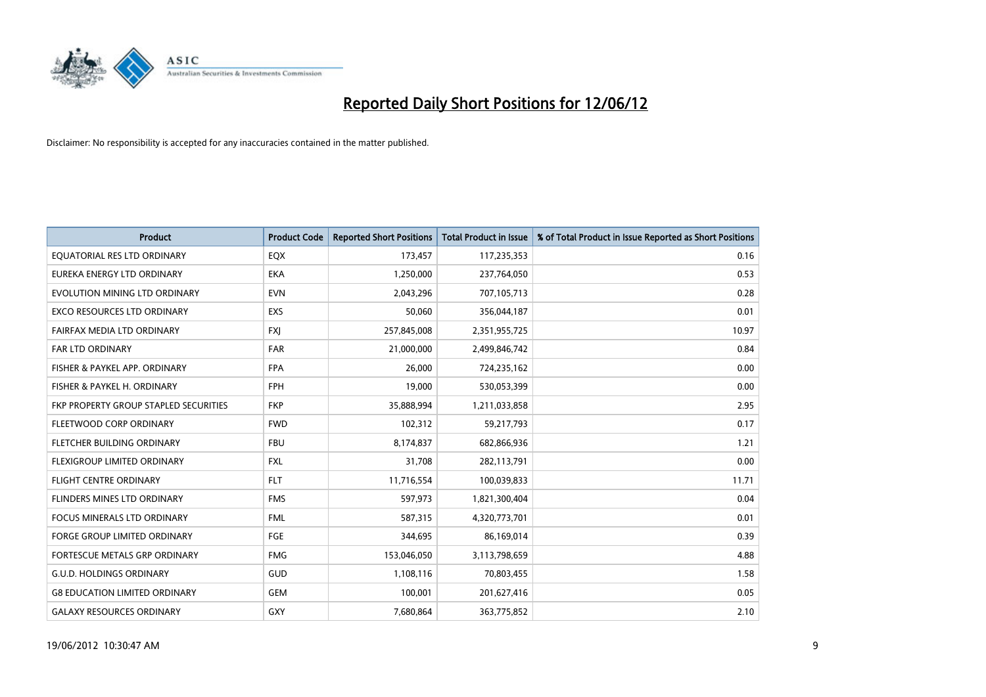

| <b>Product</b>                        | <b>Product Code</b> | <b>Reported Short Positions</b> | <b>Total Product in Issue</b> | % of Total Product in Issue Reported as Short Positions |
|---------------------------------------|---------------------|---------------------------------|-------------------------------|---------------------------------------------------------|
| EQUATORIAL RES LTD ORDINARY           | EQX                 | 173,457                         | 117,235,353                   | 0.16                                                    |
| EUREKA ENERGY LTD ORDINARY            | <b>EKA</b>          | 1,250,000                       | 237,764,050                   | 0.53                                                    |
| EVOLUTION MINING LTD ORDINARY         | <b>EVN</b>          | 2,043,296                       | 707,105,713                   | 0.28                                                    |
| <b>EXCO RESOURCES LTD ORDINARY</b>    | <b>EXS</b>          | 50,060                          | 356,044,187                   | 0.01                                                    |
| FAIRFAX MEDIA LTD ORDINARY            | <b>FXI</b>          | 257,845,008                     | 2,351,955,725                 | 10.97                                                   |
| <b>FAR LTD ORDINARY</b>               | <b>FAR</b>          | 21,000,000                      | 2,499,846,742                 | 0.84                                                    |
| FISHER & PAYKEL APP. ORDINARY         | <b>FPA</b>          | 26,000                          | 724,235,162                   | 0.00                                                    |
| FISHER & PAYKEL H. ORDINARY           | <b>FPH</b>          | 19,000                          | 530,053,399                   | 0.00                                                    |
| FKP PROPERTY GROUP STAPLED SECURITIES | <b>FKP</b>          | 35,888,994                      | 1,211,033,858                 | 2.95                                                    |
| FLEETWOOD CORP ORDINARY               | <b>FWD</b>          | 102,312                         | 59,217,793                    | 0.17                                                    |
| FLETCHER BUILDING ORDINARY            | <b>FBU</b>          | 8,174,837                       | 682,866,936                   | 1.21                                                    |
| FLEXIGROUP LIMITED ORDINARY           | FXL                 | 31,708                          | 282,113,791                   | 0.00                                                    |
| <b>FLIGHT CENTRE ORDINARY</b>         | <b>FLT</b>          | 11,716,554                      | 100,039,833                   | 11.71                                                   |
| FLINDERS MINES LTD ORDINARY           | <b>FMS</b>          | 597,973                         | 1,821,300,404                 | 0.04                                                    |
| <b>FOCUS MINERALS LTD ORDINARY</b>    | <b>FML</b>          | 587,315                         | 4,320,773,701                 | 0.01                                                    |
| <b>FORGE GROUP LIMITED ORDINARY</b>   | FGE                 | 344,695                         | 86,169,014                    | 0.39                                                    |
| FORTESCUE METALS GRP ORDINARY         | <b>FMG</b>          | 153,046,050                     | 3,113,798,659                 | 4.88                                                    |
| <b>G.U.D. HOLDINGS ORDINARY</b>       | GUD                 | 1,108,116                       | 70,803,455                    | 1.58                                                    |
| <b>G8 EDUCATION LIMITED ORDINARY</b>  | <b>GEM</b>          | 100,001                         | 201,627,416                   | 0.05                                                    |
| <b>GALAXY RESOURCES ORDINARY</b>      | GXY                 | 7,680,864                       | 363,775,852                   | 2.10                                                    |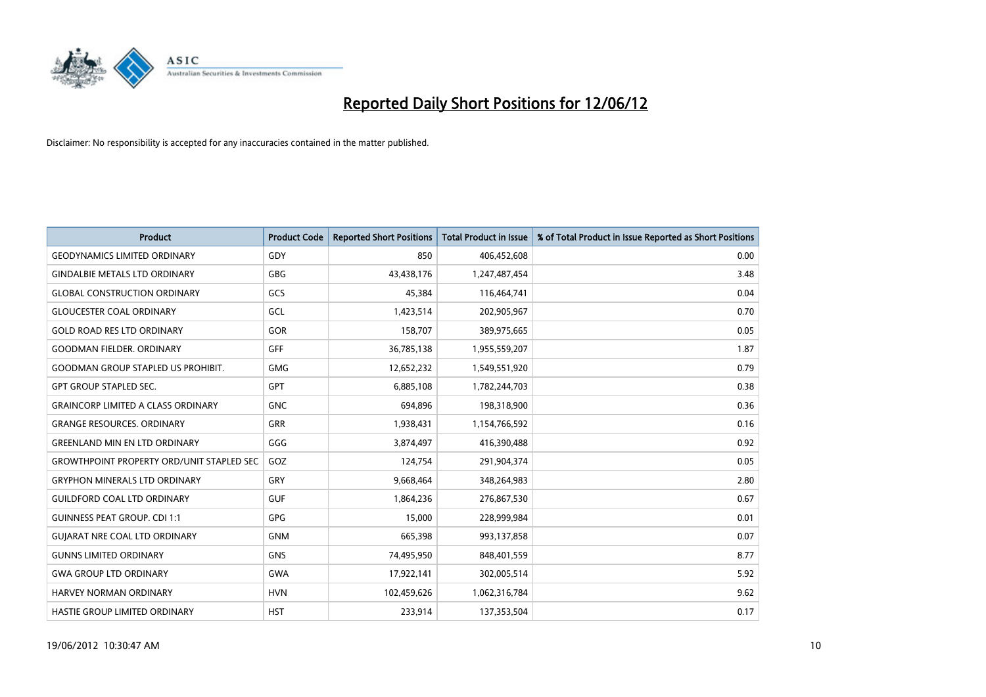

| <b>Product</b>                                   | <b>Product Code</b> | <b>Reported Short Positions</b> | <b>Total Product in Issue</b> | % of Total Product in Issue Reported as Short Positions |
|--------------------------------------------------|---------------------|---------------------------------|-------------------------------|---------------------------------------------------------|
| <b>GEODYNAMICS LIMITED ORDINARY</b>              | GDY                 | 850                             | 406,452,608                   | 0.00                                                    |
| <b>GINDALBIE METALS LTD ORDINARY</b>             | <b>GBG</b>          | 43,438,176                      | 1,247,487,454                 | 3.48                                                    |
| <b>GLOBAL CONSTRUCTION ORDINARY</b>              | GCS                 | 45,384                          | 116,464,741                   | 0.04                                                    |
| <b>GLOUCESTER COAL ORDINARY</b>                  | GCL                 | 1,423,514                       | 202,905,967                   | 0.70                                                    |
| <b>GOLD ROAD RES LTD ORDINARY</b>                | GOR                 | 158,707                         | 389,975,665                   | 0.05                                                    |
| <b>GOODMAN FIELDER, ORDINARY</b>                 | <b>GFF</b>          | 36,785,138                      | 1,955,559,207                 | 1.87                                                    |
| <b>GOODMAN GROUP STAPLED US PROHIBIT.</b>        | <b>GMG</b>          | 12,652,232                      | 1,549,551,920                 | 0.79                                                    |
| <b>GPT GROUP STAPLED SEC.</b>                    | <b>GPT</b>          | 6,885,108                       | 1,782,244,703                 | 0.38                                                    |
| <b>GRAINCORP LIMITED A CLASS ORDINARY</b>        | <b>GNC</b>          | 694,896                         | 198,318,900                   | 0.36                                                    |
| <b>GRANGE RESOURCES, ORDINARY</b>                | <b>GRR</b>          | 1,938,431                       | 1,154,766,592                 | 0.16                                                    |
| <b>GREENLAND MIN EN LTD ORDINARY</b>             | GGG                 | 3,874,497                       | 416,390,488                   | 0.92                                                    |
| <b>GROWTHPOINT PROPERTY ORD/UNIT STAPLED SEC</b> | GOZ                 | 124,754                         | 291,904,374                   | 0.05                                                    |
| <b>GRYPHON MINERALS LTD ORDINARY</b>             | GRY                 | 9,668,464                       | 348,264,983                   | 2.80                                                    |
| <b>GUILDFORD COAL LTD ORDINARY</b>               | <b>GUF</b>          | 1,864,236                       | 276,867,530                   | 0.67                                                    |
| <b>GUINNESS PEAT GROUP. CDI 1:1</b>              | <b>GPG</b>          | 15,000                          | 228,999,984                   | 0.01                                                    |
| <b>GUJARAT NRE COAL LTD ORDINARY</b>             | <b>GNM</b>          | 665,398                         | 993,137,858                   | 0.07                                                    |
| <b>GUNNS LIMITED ORDINARY</b>                    | <b>GNS</b>          | 74,495,950                      | 848,401,559                   | 8.77                                                    |
| <b>GWA GROUP LTD ORDINARY</b>                    | <b>GWA</b>          | 17,922,141                      | 302,005,514                   | 5.92                                                    |
| <b>HARVEY NORMAN ORDINARY</b>                    | <b>HVN</b>          | 102,459,626                     | 1,062,316,784                 | 9.62                                                    |
| HASTIE GROUP LIMITED ORDINARY                    | <b>HST</b>          | 233,914                         | 137,353,504                   | 0.17                                                    |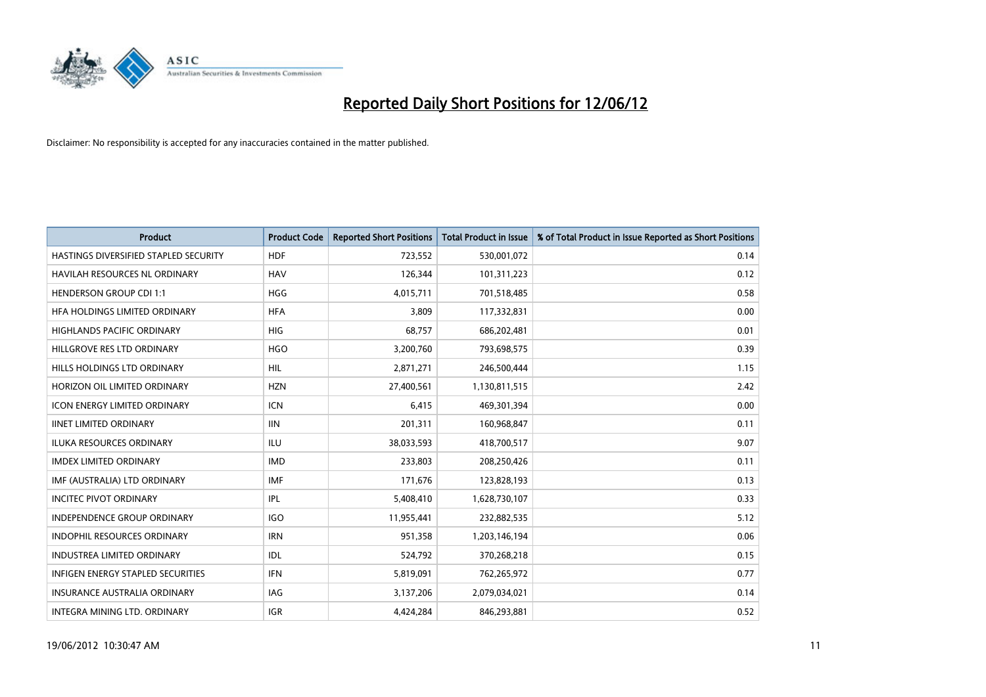

| <b>Product</b>                           | <b>Product Code</b> | <b>Reported Short Positions</b> | <b>Total Product in Issue</b> | % of Total Product in Issue Reported as Short Positions |
|------------------------------------------|---------------------|---------------------------------|-------------------------------|---------------------------------------------------------|
| HASTINGS DIVERSIFIED STAPLED SECURITY    | <b>HDF</b>          | 723,552                         | 530,001,072                   | 0.14                                                    |
| HAVILAH RESOURCES NL ORDINARY            | <b>HAV</b>          | 126,344                         | 101,311,223                   | 0.12                                                    |
| <b>HENDERSON GROUP CDI 1:1</b>           | HGG                 | 4,015,711                       | 701,518,485                   | 0.58                                                    |
| HFA HOLDINGS LIMITED ORDINARY            | <b>HFA</b>          | 3,809                           | 117,332,831                   | 0.00                                                    |
| <b>HIGHLANDS PACIFIC ORDINARY</b>        | <b>HIG</b>          | 68,757                          | 686,202,481                   | 0.01                                                    |
| HILLGROVE RES LTD ORDINARY               | <b>HGO</b>          | 3,200,760                       | 793,698,575                   | 0.39                                                    |
| HILLS HOLDINGS LTD ORDINARY              | <b>HIL</b>          | 2,871,271                       | 246,500,444                   | 1.15                                                    |
| HORIZON OIL LIMITED ORDINARY             | <b>HZN</b>          | 27,400,561                      | 1,130,811,515                 | 2.42                                                    |
| <b>ICON ENERGY LIMITED ORDINARY</b>      | <b>ICN</b>          | 6,415                           | 469,301,394                   | 0.00                                                    |
| <b>IINET LIMITED ORDINARY</b>            | <b>IIN</b>          | 201,311                         | 160,968,847                   | 0.11                                                    |
| ILUKA RESOURCES ORDINARY                 | ILU                 | 38,033,593                      | 418,700,517                   | 9.07                                                    |
| <b>IMDEX LIMITED ORDINARY</b>            | <b>IMD</b>          | 233,803                         | 208,250,426                   | 0.11                                                    |
| IMF (AUSTRALIA) LTD ORDINARY             | <b>IMF</b>          | 171,676                         | 123,828,193                   | 0.13                                                    |
| <b>INCITEC PIVOT ORDINARY</b>            | <b>IPL</b>          | 5,408,410                       | 1,628,730,107                 | 0.33                                                    |
| <b>INDEPENDENCE GROUP ORDINARY</b>       | <b>IGO</b>          | 11,955,441                      | 232,882,535                   | 5.12                                                    |
| INDOPHIL RESOURCES ORDINARY              | <b>IRN</b>          | 951,358                         | 1,203,146,194                 | 0.06                                                    |
| INDUSTREA LIMITED ORDINARY               | IDL                 | 524,792                         | 370,268,218                   | 0.15                                                    |
| <b>INFIGEN ENERGY STAPLED SECURITIES</b> | <b>IFN</b>          | 5,819,091                       | 762,265,972                   | 0.77                                                    |
| <b>INSURANCE AUSTRALIA ORDINARY</b>      | <b>IAG</b>          | 3,137,206                       | 2,079,034,021                 | 0.14                                                    |
| INTEGRA MINING LTD, ORDINARY             | <b>IGR</b>          | 4,424,284                       | 846,293,881                   | 0.52                                                    |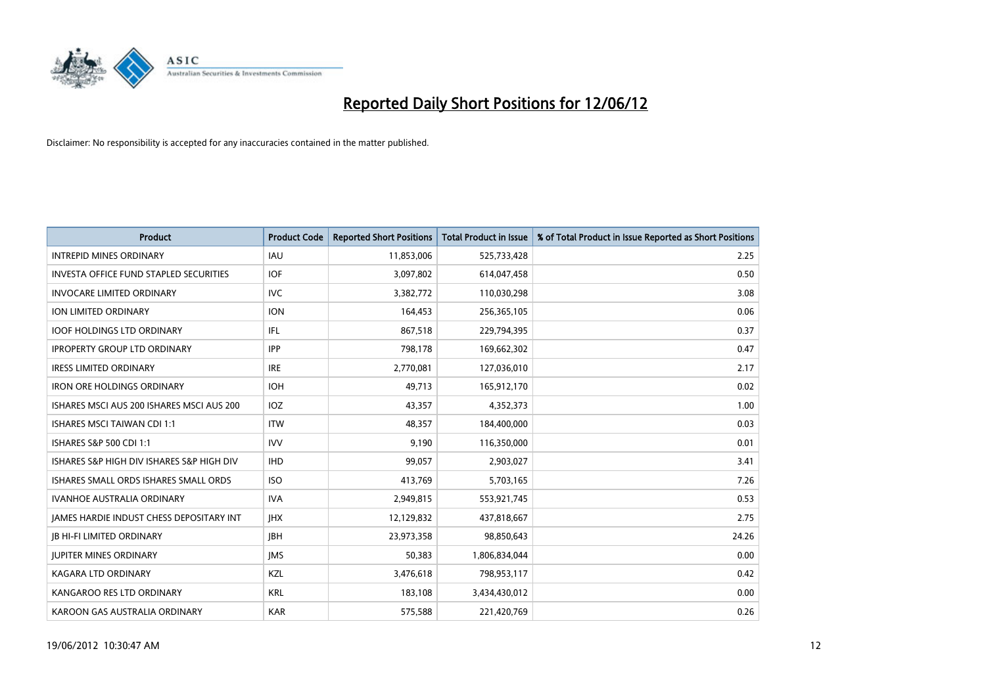

| <b>Product</b>                            | <b>Product Code</b> | <b>Reported Short Positions</b> | <b>Total Product in Issue</b> | % of Total Product in Issue Reported as Short Positions |
|-------------------------------------------|---------------------|---------------------------------|-------------------------------|---------------------------------------------------------|
| <b>INTREPID MINES ORDINARY</b>            | IAU                 | 11,853,006                      | 525,733,428                   | 2.25                                                    |
| INVESTA OFFICE FUND STAPLED SECURITIES    | <b>IOF</b>          | 3,097,802                       | 614,047,458                   | 0.50                                                    |
| <b>INVOCARE LIMITED ORDINARY</b>          | <b>IVC</b>          | 3,382,772                       | 110,030,298                   | 3.08                                                    |
| <b>ION LIMITED ORDINARY</b>               | <b>ION</b>          | 164,453                         | 256,365,105                   | 0.06                                                    |
| <b>IOOF HOLDINGS LTD ORDINARY</b>         | IFL                 | 867,518                         | 229,794,395                   | 0.37                                                    |
| <b>IPROPERTY GROUP LTD ORDINARY</b>       | <b>IPP</b>          | 798,178                         | 169,662,302                   | 0.47                                                    |
| <b>IRESS LIMITED ORDINARY</b>             | <b>IRE</b>          | 2,770,081                       | 127,036,010                   | 2.17                                                    |
| <b>IRON ORE HOLDINGS ORDINARY</b>         | <b>IOH</b>          | 49,713                          | 165,912,170                   | 0.02                                                    |
| ISHARES MSCI AUS 200 ISHARES MSCI AUS 200 | IOZ                 | 43,357                          | 4,352,373                     | 1.00                                                    |
| <b>ISHARES MSCI TAIWAN CDI 1:1</b>        | <b>ITW</b>          | 48,357                          | 184,400,000                   | 0.03                                                    |
| ISHARES S&P 500 CDI 1:1                   | <b>IVV</b>          | 9,190                           | 116,350,000                   | 0.01                                                    |
| ISHARES S&P HIGH DIV ISHARES S&P HIGH DIV | <b>IHD</b>          | 99,057                          | 2,903,027                     | 3.41                                                    |
| ISHARES SMALL ORDS ISHARES SMALL ORDS     | <b>ISO</b>          | 413,769                         | 5,703,165                     | 7.26                                                    |
| <b>IVANHOE AUSTRALIA ORDINARY</b>         | <b>IVA</b>          | 2,949,815                       | 553,921,745                   | 0.53                                                    |
| JAMES HARDIE INDUST CHESS DEPOSITARY INT  | <b>IHX</b>          | 12,129,832                      | 437,818,667                   | 2.75                                                    |
| <b>JB HI-FI LIMITED ORDINARY</b>          | <b>IBH</b>          | 23,973,358                      | 98,850,643                    | 24.26                                                   |
| <b>JUPITER MINES ORDINARY</b>             | <b>IMS</b>          | 50,383                          | 1,806,834,044                 | 0.00                                                    |
| <b>KAGARA LTD ORDINARY</b>                | KZL                 | 3,476,618                       | 798,953,117                   | 0.42                                                    |
| KANGAROO RES LTD ORDINARY                 | <b>KRL</b>          | 183,108                         | 3,434,430,012                 | 0.00                                                    |
| KAROON GAS AUSTRALIA ORDINARY             | <b>KAR</b>          | 575,588                         | 221,420,769                   | 0.26                                                    |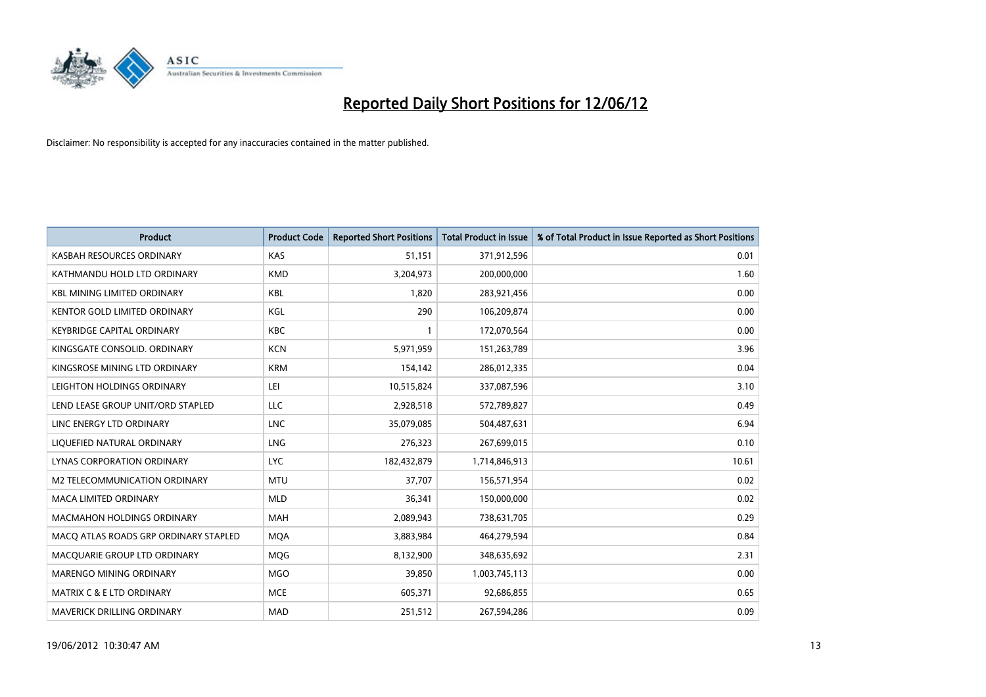

| <b>Product</b>                        | <b>Product Code</b> | <b>Reported Short Positions</b> | <b>Total Product in Issue</b> | % of Total Product in Issue Reported as Short Positions |
|---------------------------------------|---------------------|---------------------------------|-------------------------------|---------------------------------------------------------|
| KASBAH RESOURCES ORDINARY             | <b>KAS</b>          | 51,151                          | 371,912,596                   | 0.01                                                    |
| KATHMANDU HOLD LTD ORDINARY           | <b>KMD</b>          | 3,204,973                       | 200,000,000                   | 1.60                                                    |
| <b>KBL MINING LIMITED ORDINARY</b>    | <b>KBL</b>          | 1,820                           | 283,921,456                   | 0.00                                                    |
| KENTOR GOLD LIMITED ORDINARY          | KGL                 | 290                             | 106,209,874                   | 0.00                                                    |
| <b>KEYBRIDGE CAPITAL ORDINARY</b>     | <b>KBC</b>          | 1                               | 172,070,564                   | 0.00                                                    |
| KINGSGATE CONSOLID. ORDINARY          | <b>KCN</b>          | 5,971,959                       | 151,263,789                   | 3.96                                                    |
| KINGSROSE MINING LTD ORDINARY         | <b>KRM</b>          | 154,142                         | 286,012,335                   | 0.04                                                    |
| LEIGHTON HOLDINGS ORDINARY            | LEI                 | 10,515,824                      | 337,087,596                   | 3.10                                                    |
| LEND LEASE GROUP UNIT/ORD STAPLED     | <b>LLC</b>          | 2,928,518                       | 572,789,827                   | 0.49                                                    |
| LINC ENERGY LTD ORDINARY              | LNC                 | 35,079,085                      | 504,487,631                   | 6.94                                                    |
| LIQUEFIED NATURAL ORDINARY            | <b>LNG</b>          | 276,323                         | 267,699,015                   | 0.10                                                    |
| <b>LYNAS CORPORATION ORDINARY</b>     | <b>LYC</b>          | 182,432,879                     | 1,714,846,913                 | 10.61                                                   |
| M2 TELECOMMUNICATION ORDINARY         | <b>MTU</b>          | 37,707                          | 156,571,954                   | 0.02                                                    |
| <b>MACA LIMITED ORDINARY</b>          | <b>MLD</b>          | 36,341                          | 150,000,000                   | 0.02                                                    |
| <b>MACMAHON HOLDINGS ORDINARY</b>     | <b>MAH</b>          | 2,089,943                       | 738,631,705                   | 0.29                                                    |
| MACO ATLAS ROADS GRP ORDINARY STAPLED | <b>MOA</b>          | 3,883,984                       | 464,279,594                   | 0.84                                                    |
| MACQUARIE GROUP LTD ORDINARY          | MQG                 | 8,132,900                       | 348,635,692                   | 2.31                                                    |
| MARENGO MINING ORDINARY               | <b>MGO</b>          | 39,850                          | 1,003,745,113                 | 0.00                                                    |
| <b>MATRIX C &amp; E LTD ORDINARY</b>  | <b>MCE</b>          | 605,371                         | 92,686,855                    | 0.65                                                    |
| MAVERICK DRILLING ORDINARY            | <b>MAD</b>          | 251,512                         | 267,594,286                   | 0.09                                                    |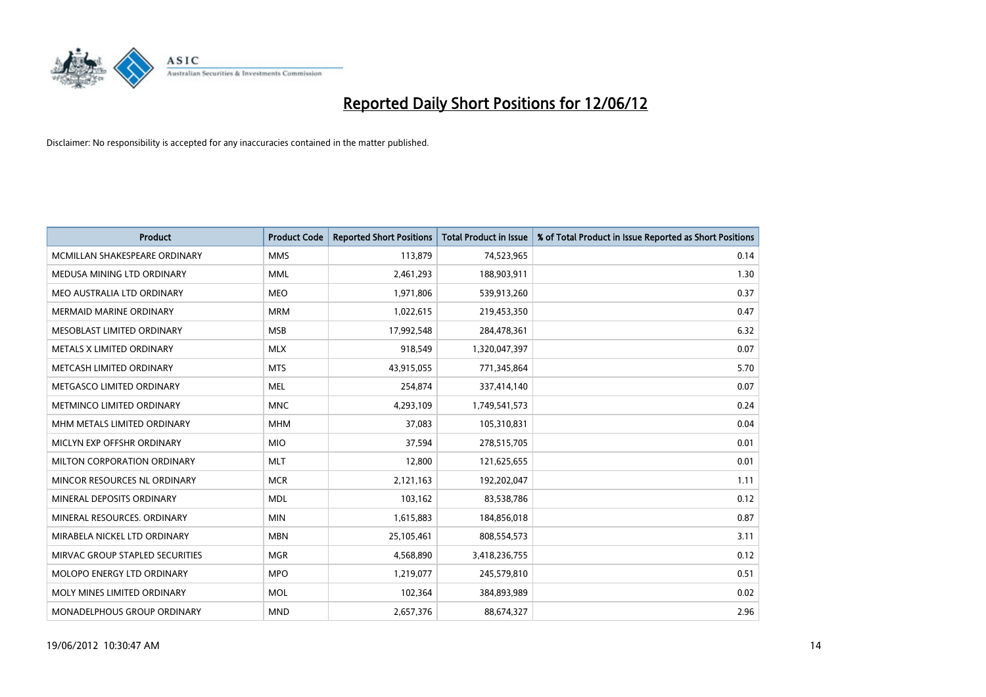

| <b>Product</b>                  | <b>Product Code</b> | <b>Reported Short Positions</b> | <b>Total Product in Issue</b> | % of Total Product in Issue Reported as Short Positions |
|---------------------------------|---------------------|---------------------------------|-------------------------------|---------------------------------------------------------|
| MCMILLAN SHAKESPEARE ORDINARY   | <b>MMS</b>          | 113,879                         | 74,523,965                    | 0.14                                                    |
| MEDUSA MINING LTD ORDINARY      | <b>MML</b>          | 2,461,293                       | 188,903,911                   | 1.30                                                    |
| MEO AUSTRALIA LTD ORDINARY      | <b>MEO</b>          | 1,971,806                       | 539,913,260                   | 0.37                                                    |
| MERMAID MARINE ORDINARY         | <b>MRM</b>          | 1,022,615                       | 219,453,350                   | 0.47                                                    |
| MESOBLAST LIMITED ORDINARY      | <b>MSB</b>          | 17,992,548                      | 284,478,361                   | 6.32                                                    |
| METALS X LIMITED ORDINARY       | <b>MLX</b>          | 918,549                         | 1,320,047,397                 | 0.07                                                    |
| METCASH LIMITED ORDINARY        | <b>MTS</b>          | 43,915,055                      | 771,345,864                   | 5.70                                                    |
| METGASCO LIMITED ORDINARY       | <b>MEL</b>          | 254,874                         | 337,414,140                   | 0.07                                                    |
| METMINCO LIMITED ORDINARY       | <b>MNC</b>          | 4,293,109                       | 1,749,541,573                 | 0.24                                                    |
| MHM METALS LIMITED ORDINARY     | <b>MHM</b>          | 37,083                          | 105,310,831                   | 0.04                                                    |
| MICLYN EXP OFFSHR ORDINARY      | <b>MIO</b>          | 37,594                          | 278,515,705                   | 0.01                                                    |
| MILTON CORPORATION ORDINARY     | <b>MLT</b>          | 12,800                          | 121,625,655                   | 0.01                                                    |
| MINCOR RESOURCES NL ORDINARY    | <b>MCR</b>          | 2,121,163                       | 192,202,047                   | 1.11                                                    |
| MINERAL DEPOSITS ORDINARY       | <b>MDL</b>          | 103,162                         | 83,538,786                    | 0.12                                                    |
| MINERAL RESOURCES, ORDINARY     | <b>MIN</b>          | 1,615,883                       | 184,856,018                   | 0.87                                                    |
| MIRABELA NICKEL LTD ORDINARY    | <b>MBN</b>          | 25,105,461                      | 808,554,573                   | 3.11                                                    |
| MIRVAC GROUP STAPLED SECURITIES | MGR                 | 4,568,890                       | 3,418,236,755                 | 0.12                                                    |
| MOLOPO ENERGY LTD ORDINARY      | <b>MPO</b>          | 1,219,077                       | 245,579,810                   | 0.51                                                    |
| MOLY MINES LIMITED ORDINARY     | <b>MOL</b>          | 102,364                         | 384,893,989                   | 0.02                                                    |
| MONADELPHOUS GROUP ORDINARY     | <b>MND</b>          | 2,657,376                       | 88,674,327                    | 2.96                                                    |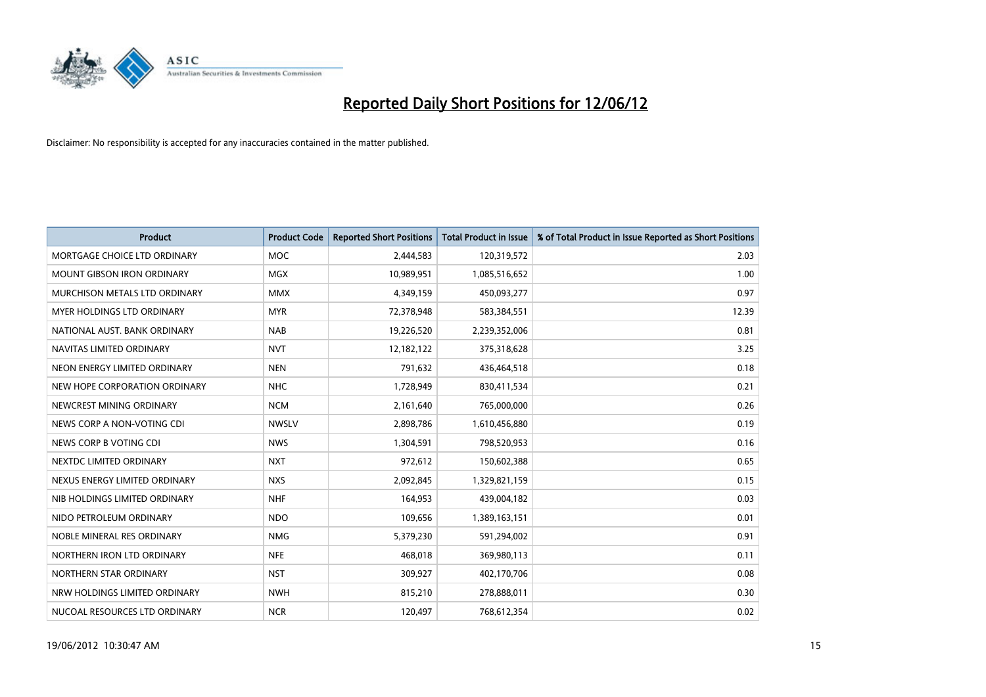

| <b>Product</b>                    | <b>Product Code</b> | <b>Reported Short Positions</b> | <b>Total Product in Issue</b> | % of Total Product in Issue Reported as Short Positions |
|-----------------------------------|---------------------|---------------------------------|-------------------------------|---------------------------------------------------------|
| MORTGAGE CHOICE LTD ORDINARY      | <b>MOC</b>          | 2,444,583                       | 120,319,572                   | 2.03                                                    |
| <b>MOUNT GIBSON IRON ORDINARY</b> | <b>MGX</b>          | 10,989,951                      | 1,085,516,652                 | 1.00                                                    |
| MURCHISON METALS LTD ORDINARY     | <b>MMX</b>          | 4,349,159                       | 450,093,277                   | 0.97                                                    |
| MYER HOLDINGS LTD ORDINARY        | <b>MYR</b>          | 72,378,948                      | 583,384,551                   | 12.39                                                   |
| NATIONAL AUST. BANK ORDINARY      | <b>NAB</b>          | 19,226,520                      | 2,239,352,006                 | 0.81                                                    |
| NAVITAS LIMITED ORDINARY          | <b>NVT</b>          | 12,182,122                      | 375,318,628                   | 3.25                                                    |
| NEON ENERGY LIMITED ORDINARY      | <b>NEN</b>          | 791,632                         | 436,464,518                   | 0.18                                                    |
| NEW HOPE CORPORATION ORDINARY     | <b>NHC</b>          | 1,728,949                       | 830,411,534                   | 0.21                                                    |
| NEWCREST MINING ORDINARY          | <b>NCM</b>          | 2,161,640                       | 765,000,000                   | 0.26                                                    |
| NEWS CORP A NON-VOTING CDI        | <b>NWSLV</b>        | 2,898,786                       | 1,610,456,880                 | 0.19                                                    |
| NEWS CORP B VOTING CDI            | <b>NWS</b>          | 1,304,591                       | 798,520,953                   | 0.16                                                    |
| NEXTDC LIMITED ORDINARY           | <b>NXT</b>          | 972,612                         | 150,602,388                   | 0.65                                                    |
| NEXUS ENERGY LIMITED ORDINARY     | <b>NXS</b>          | 2,092,845                       | 1,329,821,159                 | 0.15                                                    |
| NIB HOLDINGS LIMITED ORDINARY     | <b>NHF</b>          | 164,953                         | 439,004,182                   | 0.03                                                    |
| NIDO PETROLEUM ORDINARY           | <b>NDO</b>          | 109,656                         | 1,389,163,151                 | 0.01                                                    |
| NOBLE MINERAL RES ORDINARY        | <b>NMG</b>          | 5,379,230                       | 591,294,002                   | 0.91                                                    |
| NORTHERN IRON LTD ORDINARY        | <b>NFE</b>          | 468,018                         | 369,980,113                   | 0.11                                                    |
| NORTHERN STAR ORDINARY            | <b>NST</b>          | 309,927                         | 402,170,706                   | 0.08                                                    |
| NRW HOLDINGS LIMITED ORDINARY     | <b>NWH</b>          | 815,210                         | 278,888,011                   | 0.30                                                    |
| NUCOAL RESOURCES LTD ORDINARY     | <b>NCR</b>          | 120,497                         | 768,612,354                   | 0.02                                                    |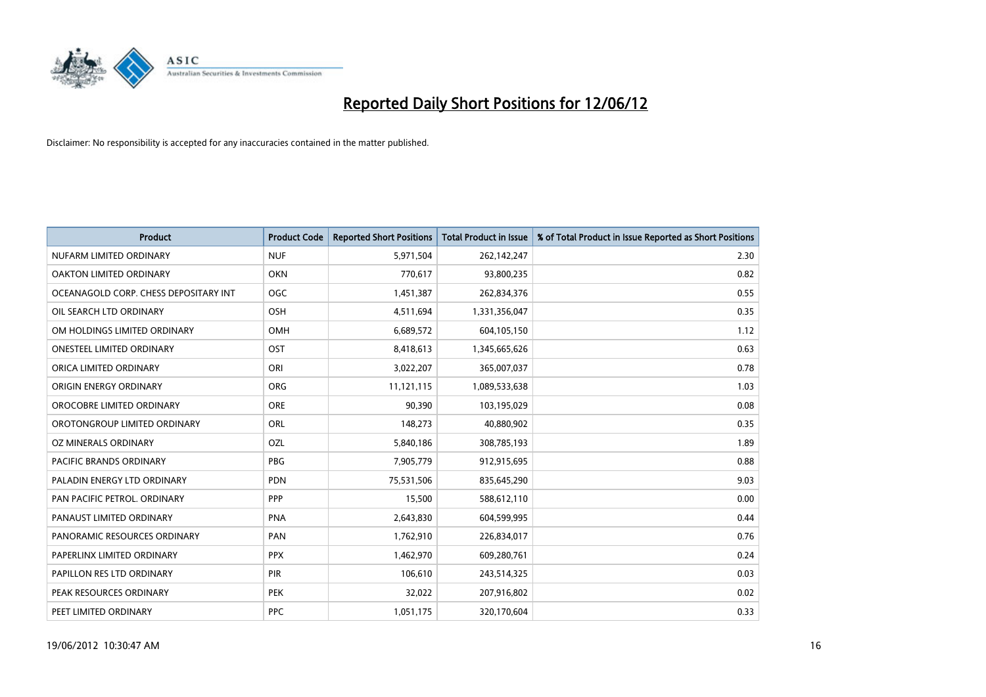

| <b>Product</b>                        | <b>Product Code</b> | <b>Reported Short Positions</b> | <b>Total Product in Issue</b> | % of Total Product in Issue Reported as Short Positions |
|---------------------------------------|---------------------|---------------------------------|-------------------------------|---------------------------------------------------------|
| NUFARM LIMITED ORDINARY               | <b>NUF</b>          | 5,971,504                       | 262,142,247                   | 2.30                                                    |
| OAKTON LIMITED ORDINARY               | <b>OKN</b>          | 770,617                         | 93,800,235                    | 0.82                                                    |
| OCEANAGOLD CORP. CHESS DEPOSITARY INT | <b>OGC</b>          | 1,451,387                       | 262,834,376                   | 0.55                                                    |
| OIL SEARCH LTD ORDINARY               | OSH                 | 4,511,694                       | 1,331,356,047                 | 0.35                                                    |
| OM HOLDINGS LIMITED ORDINARY          | OMH                 | 6,689,572                       | 604,105,150                   | 1.12                                                    |
| <b>ONESTEEL LIMITED ORDINARY</b>      | OST                 | 8,418,613                       | 1,345,665,626                 | 0.63                                                    |
| ORICA LIMITED ORDINARY                | ORI                 | 3,022,207                       | 365,007,037                   | 0.78                                                    |
| ORIGIN ENERGY ORDINARY                | ORG                 | 11,121,115                      | 1,089,533,638                 | 1.03                                                    |
| OROCOBRE LIMITED ORDINARY             | <b>ORE</b>          | 90,390                          | 103,195,029                   | 0.08                                                    |
| OROTONGROUP LIMITED ORDINARY          | ORL                 | 148,273                         | 40,880,902                    | 0.35                                                    |
| OZ MINERALS ORDINARY                  | OZL                 | 5,840,186                       | 308,785,193                   | 1.89                                                    |
| PACIFIC BRANDS ORDINARY               | <b>PBG</b>          | 7,905,779                       | 912,915,695                   | 0.88                                                    |
| PALADIN ENERGY LTD ORDINARY           | <b>PDN</b>          | 75,531,506                      | 835,645,290                   | 9.03                                                    |
| PAN PACIFIC PETROL. ORDINARY          | PPP                 | 15,500                          | 588,612,110                   | 0.00                                                    |
| PANAUST LIMITED ORDINARY              | <b>PNA</b>          | 2,643,830                       | 604,599,995                   | 0.44                                                    |
| PANORAMIC RESOURCES ORDINARY          | PAN                 | 1,762,910                       | 226,834,017                   | 0.76                                                    |
| PAPERLINX LIMITED ORDINARY            | <b>PPX</b>          | 1,462,970                       | 609,280,761                   | 0.24                                                    |
| PAPILLON RES LTD ORDINARY             | PIR                 | 106,610                         | 243,514,325                   | 0.03                                                    |
| PEAK RESOURCES ORDINARY               | <b>PEK</b>          | 32,022                          | 207,916,802                   | 0.02                                                    |
| PEET LIMITED ORDINARY                 | <b>PPC</b>          | 1,051,175                       | 320,170,604                   | 0.33                                                    |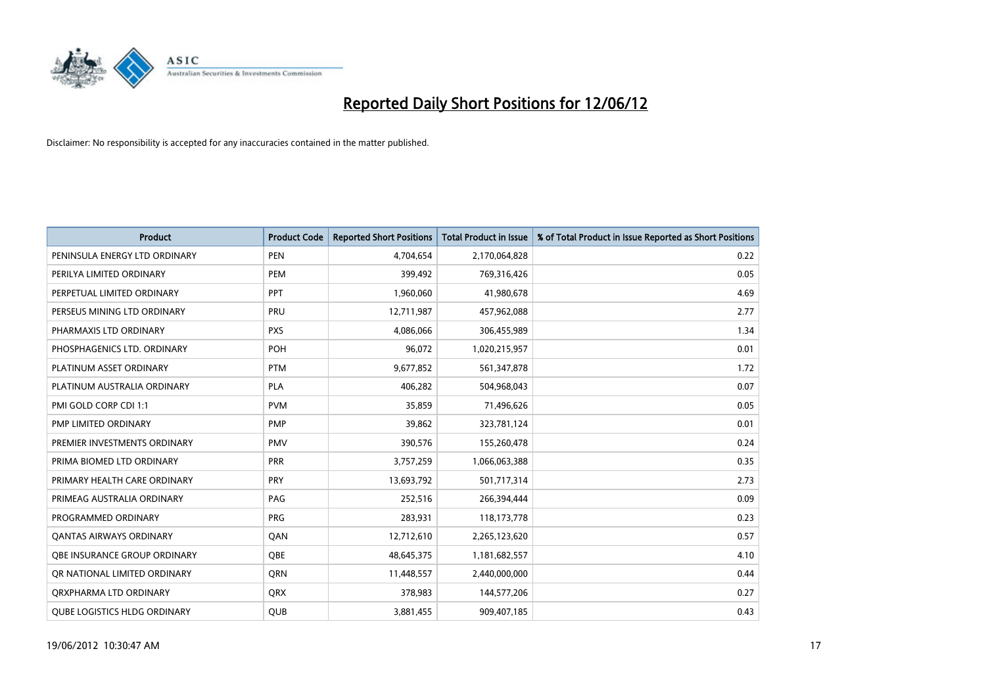

| <b>Product</b>                      | <b>Product Code</b> | <b>Reported Short Positions</b> | <b>Total Product in Issue</b> | % of Total Product in Issue Reported as Short Positions |
|-------------------------------------|---------------------|---------------------------------|-------------------------------|---------------------------------------------------------|
| PENINSULA ENERGY LTD ORDINARY       | <b>PEN</b>          | 4,704,654                       | 2,170,064,828                 | 0.22                                                    |
| PERILYA LIMITED ORDINARY            | <b>PEM</b>          | 399,492                         | 769,316,426                   | 0.05                                                    |
| PERPETUAL LIMITED ORDINARY          | PPT                 | 1,960,060                       | 41,980,678                    | 4.69                                                    |
| PERSEUS MINING LTD ORDINARY         | PRU                 | 12,711,987                      | 457,962,088                   | 2.77                                                    |
| PHARMAXIS LTD ORDINARY              | <b>PXS</b>          | 4,086,066                       | 306,455,989                   | 1.34                                                    |
| PHOSPHAGENICS LTD. ORDINARY         | POH                 | 96,072                          | 1,020,215,957                 | 0.01                                                    |
| PLATINUM ASSET ORDINARY             | <b>PTM</b>          | 9,677,852                       | 561,347,878                   | 1.72                                                    |
| PLATINUM AUSTRALIA ORDINARY         | PLA                 | 406,282                         | 504,968,043                   | 0.07                                                    |
| PMI GOLD CORP CDI 1:1               | <b>PVM</b>          | 35,859                          | 71,496,626                    | 0.05                                                    |
| <b>PMP LIMITED ORDINARY</b>         | <b>PMP</b>          | 39,862                          | 323,781,124                   | 0.01                                                    |
| PREMIER INVESTMENTS ORDINARY        | <b>PMV</b>          | 390,576                         | 155,260,478                   | 0.24                                                    |
| PRIMA BIOMED LTD ORDINARY           | <b>PRR</b>          | 3,757,259                       | 1,066,063,388                 | 0.35                                                    |
| PRIMARY HEALTH CARE ORDINARY        | <b>PRY</b>          | 13,693,792                      | 501,717,314                   | 2.73                                                    |
| PRIMEAG AUSTRALIA ORDINARY          | PAG                 | 252,516                         | 266,394,444                   | 0.09                                                    |
| PROGRAMMED ORDINARY                 | <b>PRG</b>          | 283,931                         | 118,173,778                   | 0.23                                                    |
| <b>QANTAS AIRWAYS ORDINARY</b>      | QAN                 | 12,712,610                      | 2,265,123,620                 | 0.57                                                    |
| OBE INSURANCE GROUP ORDINARY        | <b>OBE</b>          | 48,645,375                      | 1,181,682,557                 | 4.10                                                    |
| OR NATIONAL LIMITED ORDINARY        | <b>ORN</b>          | 11,448,557                      | 2,440,000,000                 | 0.44                                                    |
| ORXPHARMA LTD ORDINARY              | <b>ORX</b>          | 378,983                         | 144,577,206                   | 0.27                                                    |
| <b>QUBE LOGISTICS HLDG ORDINARY</b> | <b>QUB</b>          | 3,881,455                       | 909,407,185                   | 0.43                                                    |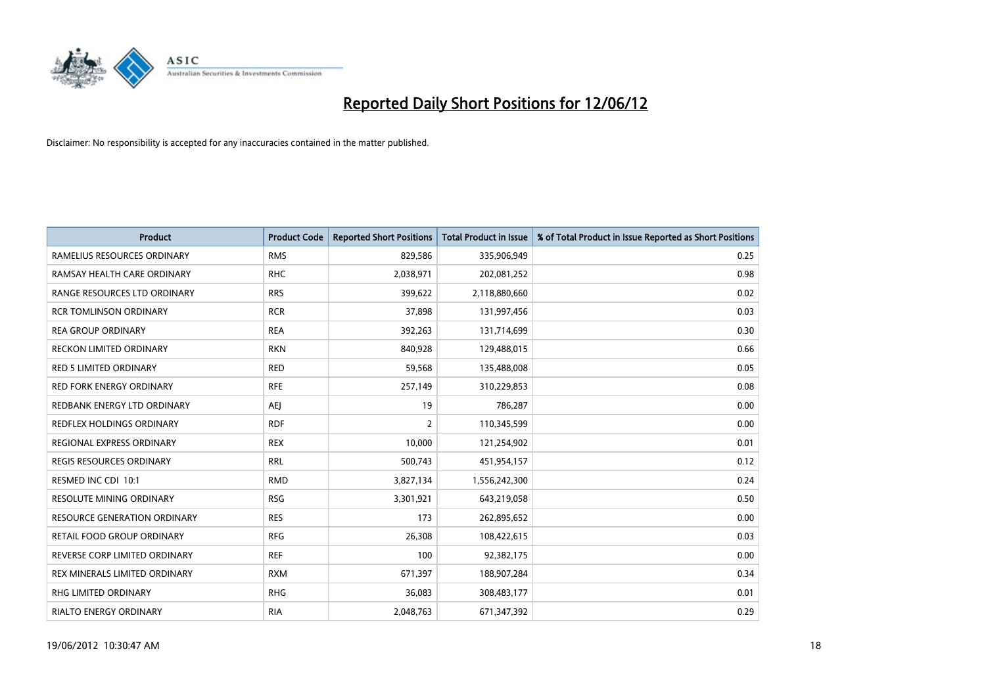

| Product                             | <b>Product Code</b> | <b>Reported Short Positions</b> | <b>Total Product in Issue</b> | % of Total Product in Issue Reported as Short Positions |
|-------------------------------------|---------------------|---------------------------------|-------------------------------|---------------------------------------------------------|
| RAMELIUS RESOURCES ORDINARY         | <b>RMS</b>          | 829,586                         | 335,906,949                   | 0.25                                                    |
| RAMSAY HEALTH CARE ORDINARY         | <b>RHC</b>          | 2,038,971                       | 202,081,252                   | 0.98                                                    |
| RANGE RESOURCES LTD ORDINARY        | <b>RRS</b>          | 399,622                         | 2,118,880,660                 | 0.02                                                    |
| <b>RCR TOMLINSON ORDINARY</b>       | <b>RCR</b>          | 37,898                          | 131,997,456                   | 0.03                                                    |
| <b>REA GROUP ORDINARY</b>           | <b>REA</b>          | 392,263                         | 131,714,699                   | 0.30                                                    |
| <b>RECKON LIMITED ORDINARY</b>      | <b>RKN</b>          | 840,928                         | 129,488,015                   | 0.66                                                    |
| RED 5 LIMITED ORDINARY              | <b>RED</b>          | 59,568                          | 135,488,008                   | 0.05                                                    |
| RED FORK ENERGY ORDINARY            | <b>RFE</b>          | 257,149                         | 310,229,853                   | 0.08                                                    |
| REDBANK ENERGY LTD ORDINARY         | AEJ                 | 19                              | 786,287                       | 0.00                                                    |
| <b>REDFLEX HOLDINGS ORDINARY</b>    | <b>RDF</b>          | $\overline{2}$                  | 110,345,599                   | 0.00                                                    |
| REGIONAL EXPRESS ORDINARY           | <b>REX</b>          | 10,000                          | 121,254,902                   | 0.01                                                    |
| REGIS RESOURCES ORDINARY            | <b>RRL</b>          | 500,743                         | 451,954,157                   | 0.12                                                    |
| RESMED INC CDI 10:1                 | <b>RMD</b>          | 3,827,134                       | 1,556,242,300                 | 0.24                                                    |
| <b>RESOLUTE MINING ORDINARY</b>     | <b>RSG</b>          | 3,301,921                       | 643,219,058                   | 0.50                                                    |
| <b>RESOURCE GENERATION ORDINARY</b> | <b>RES</b>          | 173                             | 262,895,652                   | 0.00                                                    |
| RETAIL FOOD GROUP ORDINARY          | <b>RFG</b>          | 26,308                          | 108,422,615                   | 0.03                                                    |
| REVERSE CORP LIMITED ORDINARY       | <b>REF</b>          | 100                             | 92,382,175                    | 0.00                                                    |
| REX MINERALS LIMITED ORDINARY       | <b>RXM</b>          | 671,397                         | 188,907,284                   | 0.34                                                    |
| <b>RHG LIMITED ORDINARY</b>         | <b>RHG</b>          | 36,083                          | 308,483,177                   | 0.01                                                    |
| <b>RIALTO ENERGY ORDINARY</b>       | <b>RIA</b>          | 2,048,763                       | 671,347,392                   | 0.29                                                    |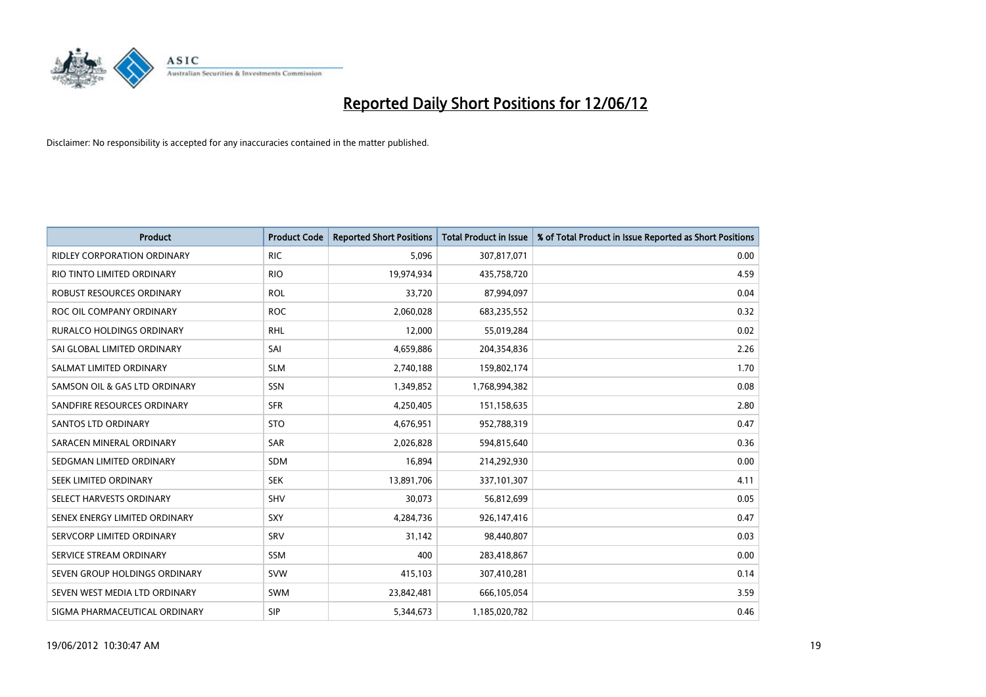

| <b>Product</b>                     | <b>Product Code</b> | <b>Reported Short Positions</b> | <b>Total Product in Issue</b> | % of Total Product in Issue Reported as Short Positions |
|------------------------------------|---------------------|---------------------------------|-------------------------------|---------------------------------------------------------|
| <b>RIDLEY CORPORATION ORDINARY</b> | <b>RIC</b>          | 5,096                           | 307,817,071                   | 0.00                                                    |
| RIO TINTO LIMITED ORDINARY         | <b>RIO</b>          | 19,974,934                      | 435,758,720                   | 4.59                                                    |
| ROBUST RESOURCES ORDINARY          | <b>ROL</b>          | 33,720                          | 87,994,097                    | 0.04                                                    |
| ROC OIL COMPANY ORDINARY           | <b>ROC</b>          | 2,060,028                       | 683,235,552                   | 0.32                                                    |
| <b>RURALCO HOLDINGS ORDINARY</b>   | <b>RHL</b>          | 12,000                          | 55,019,284                    | 0.02                                                    |
| SAI GLOBAL LIMITED ORDINARY        | SAI                 | 4,659,886                       | 204,354,836                   | 2.26                                                    |
| SALMAT LIMITED ORDINARY            | <b>SLM</b>          | 2,740,188                       | 159,802,174                   | 1.70                                                    |
| SAMSON OIL & GAS LTD ORDINARY      | SSN                 | 1,349,852                       | 1,768,994,382                 | 0.08                                                    |
| SANDFIRE RESOURCES ORDINARY        | <b>SFR</b>          | 4,250,405                       | 151,158,635                   | 2.80                                                    |
| SANTOS LTD ORDINARY                | <b>STO</b>          | 4,676,951                       | 952,788,319                   | 0.47                                                    |
| SARACEN MINERAL ORDINARY           | SAR                 | 2,026,828                       | 594,815,640                   | 0.36                                                    |
| SEDGMAN LIMITED ORDINARY           | SDM                 | 16,894                          | 214,292,930                   | 0.00                                                    |
| SEEK LIMITED ORDINARY              | <b>SEK</b>          | 13,891,706                      | 337,101,307                   | 4.11                                                    |
| SELECT HARVESTS ORDINARY           | SHV                 | 30,073                          | 56,812,699                    | 0.05                                                    |
| SENEX ENERGY LIMITED ORDINARY      | SXY                 | 4,284,736                       | 926,147,416                   | 0.47                                                    |
| SERVCORP LIMITED ORDINARY          | <b>SRV</b>          | 31,142                          | 98,440,807                    | 0.03                                                    |
| SERVICE STREAM ORDINARY            | <b>SSM</b>          | 400                             | 283,418,867                   | 0.00                                                    |
| SEVEN GROUP HOLDINGS ORDINARY      | <b>SVW</b>          | 415,103                         | 307,410,281                   | 0.14                                                    |
| SEVEN WEST MEDIA LTD ORDINARY      | SWM                 | 23,842,481                      | 666,105,054                   | 3.59                                                    |
| SIGMA PHARMACEUTICAL ORDINARY      | <b>SIP</b>          | 5,344,673                       | 1,185,020,782                 | 0.46                                                    |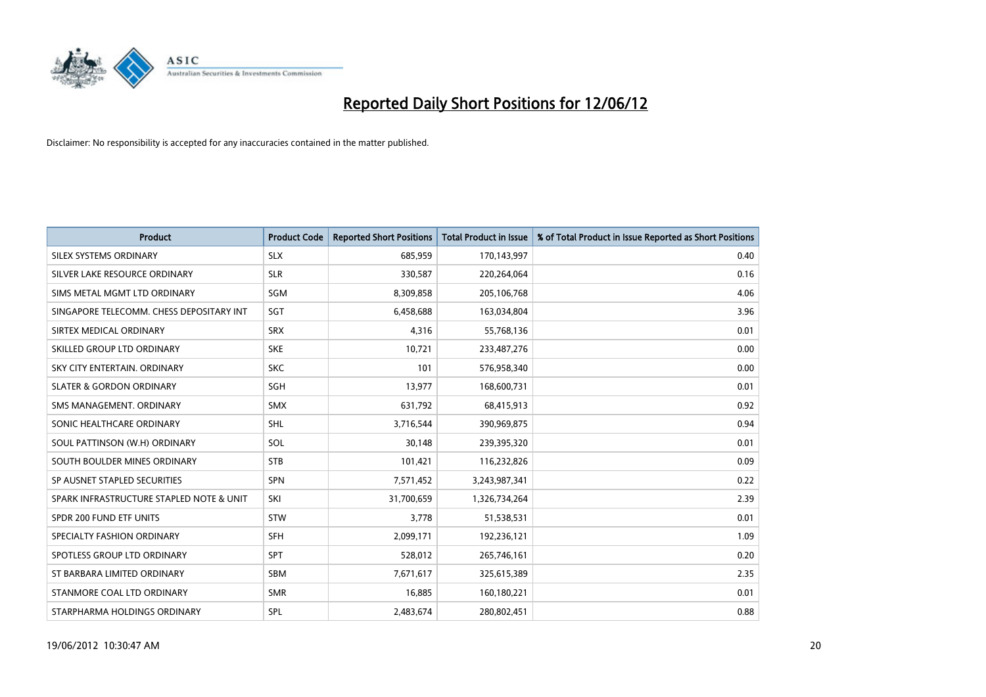

| <b>Product</b>                           | <b>Product Code</b> | <b>Reported Short Positions</b> | <b>Total Product in Issue</b> | % of Total Product in Issue Reported as Short Positions |
|------------------------------------------|---------------------|---------------------------------|-------------------------------|---------------------------------------------------------|
| SILEX SYSTEMS ORDINARY                   | <b>SLX</b>          | 685,959                         | 170,143,997                   | 0.40                                                    |
| SILVER LAKE RESOURCE ORDINARY            | <b>SLR</b>          | 330,587                         | 220,264,064                   | 0.16                                                    |
| SIMS METAL MGMT LTD ORDINARY             | SGM                 | 8,309,858                       | 205,106,768                   | 4.06                                                    |
| SINGAPORE TELECOMM. CHESS DEPOSITARY INT | SGT                 | 6,458,688                       | 163,034,804                   | 3.96                                                    |
| SIRTEX MEDICAL ORDINARY                  | <b>SRX</b>          | 4,316                           | 55,768,136                    | 0.01                                                    |
| SKILLED GROUP LTD ORDINARY               | <b>SKE</b>          | 10,721                          | 233,487,276                   | 0.00                                                    |
| SKY CITY ENTERTAIN, ORDINARY             | <b>SKC</b>          | 101                             | 576,958,340                   | 0.00                                                    |
| <b>SLATER &amp; GORDON ORDINARY</b>      | SGH                 | 13,977                          | 168,600,731                   | 0.01                                                    |
| SMS MANAGEMENT, ORDINARY                 | <b>SMX</b>          | 631,792                         | 68,415,913                    | 0.92                                                    |
| SONIC HEALTHCARE ORDINARY                | <b>SHL</b>          | 3,716,544                       | 390,969,875                   | 0.94                                                    |
| SOUL PATTINSON (W.H) ORDINARY            | SOL                 | 30,148                          | 239,395,320                   | 0.01                                                    |
| SOUTH BOULDER MINES ORDINARY             | <b>STB</b>          | 101,421                         | 116,232,826                   | 0.09                                                    |
| SP AUSNET STAPLED SECURITIES             | <b>SPN</b>          | 7,571,452                       | 3,243,987,341                 | 0.22                                                    |
| SPARK INFRASTRUCTURE STAPLED NOTE & UNIT | SKI                 | 31,700,659                      | 1,326,734,264                 | 2.39                                                    |
| SPDR 200 FUND ETF UNITS                  | <b>STW</b>          | 3,778                           | 51,538,531                    | 0.01                                                    |
| SPECIALTY FASHION ORDINARY               | SFH                 | 2,099,171                       | 192,236,121                   | 1.09                                                    |
| SPOTLESS GROUP LTD ORDINARY              | SPT                 | 528,012                         | 265,746,161                   | 0.20                                                    |
| ST BARBARA LIMITED ORDINARY              | <b>SBM</b>          | 7,671,617                       | 325,615,389                   | 2.35                                                    |
| STANMORE COAL LTD ORDINARY               | <b>SMR</b>          | 16,885                          | 160,180,221                   | 0.01                                                    |
| STARPHARMA HOLDINGS ORDINARY             | SPL                 | 2,483,674                       | 280,802,451                   | 0.88                                                    |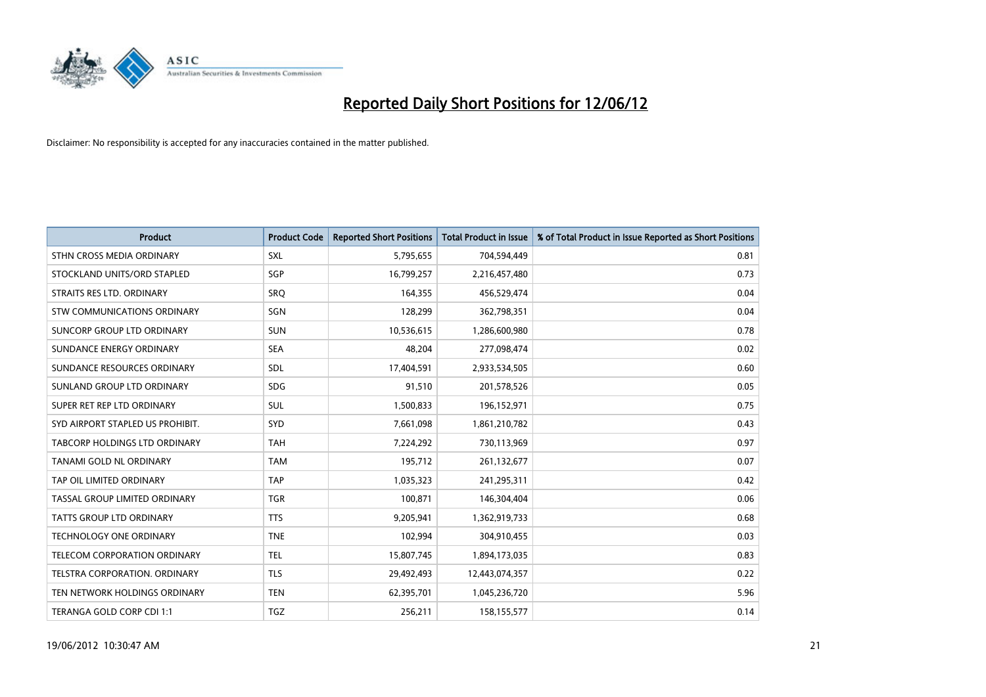

| <b>Product</b>                     | <b>Product Code</b> | <b>Reported Short Positions</b> | <b>Total Product in Issue</b> | % of Total Product in Issue Reported as Short Positions |
|------------------------------------|---------------------|---------------------------------|-------------------------------|---------------------------------------------------------|
| STHN CROSS MEDIA ORDINARY          | <b>SXL</b>          | 5,795,655                       | 704,594,449                   | 0.81                                                    |
| STOCKLAND UNITS/ORD STAPLED        | SGP                 | 16,799,257                      | 2,216,457,480                 | 0.73                                                    |
| STRAITS RES LTD. ORDINARY          | <b>SRO</b>          | 164,355                         | 456,529,474                   | 0.04                                                    |
| <b>STW COMMUNICATIONS ORDINARY</b> | SGN                 | 128,299                         | 362,798,351                   | 0.04                                                    |
| SUNCORP GROUP LTD ORDINARY         | <b>SUN</b>          | 10,536,615                      | 1,286,600,980                 | 0.78                                                    |
| SUNDANCE ENERGY ORDINARY           | <b>SEA</b>          | 48,204                          | 277,098,474                   | 0.02                                                    |
| SUNDANCE RESOURCES ORDINARY        | SDL                 | 17,404,591                      | 2,933,534,505                 | 0.60                                                    |
| SUNLAND GROUP LTD ORDINARY         | <b>SDG</b>          | 91,510                          | 201,578,526                   | 0.05                                                    |
| SUPER RET REP LTD ORDINARY         | <b>SUL</b>          | 1,500,833                       | 196,152,971                   | 0.75                                                    |
| SYD AIRPORT STAPLED US PROHIBIT.   | <b>SYD</b>          | 7,661,098                       | 1,861,210,782                 | 0.43                                                    |
| TABCORP HOLDINGS LTD ORDINARY      | <b>TAH</b>          | 7,224,292                       | 730,113,969                   | 0.97                                                    |
| TANAMI GOLD NL ORDINARY            | <b>TAM</b>          | 195,712                         | 261,132,677                   | 0.07                                                    |
| TAP OIL LIMITED ORDINARY           | <b>TAP</b>          | 1,035,323                       | 241,295,311                   | 0.42                                                    |
| TASSAL GROUP LIMITED ORDINARY      | <b>TGR</b>          | 100,871                         | 146,304,404                   | 0.06                                                    |
| <b>TATTS GROUP LTD ORDINARY</b>    | <b>TTS</b>          | 9,205,941                       | 1,362,919,733                 | 0.68                                                    |
| TECHNOLOGY ONE ORDINARY            | <b>TNE</b>          | 102,994                         | 304,910,455                   | 0.03                                                    |
| TELECOM CORPORATION ORDINARY       | <b>TEL</b>          | 15,807,745                      | 1,894,173,035                 | 0.83                                                    |
| TELSTRA CORPORATION. ORDINARY      | <b>TLS</b>          | 29,492,493                      | 12,443,074,357                | 0.22                                                    |
| TEN NETWORK HOLDINGS ORDINARY      | <b>TEN</b>          | 62,395,701                      | 1,045,236,720                 | 5.96                                                    |
| TERANGA GOLD CORP CDI 1:1          | <b>TGZ</b>          | 256,211                         | 158,155,577                   | 0.14                                                    |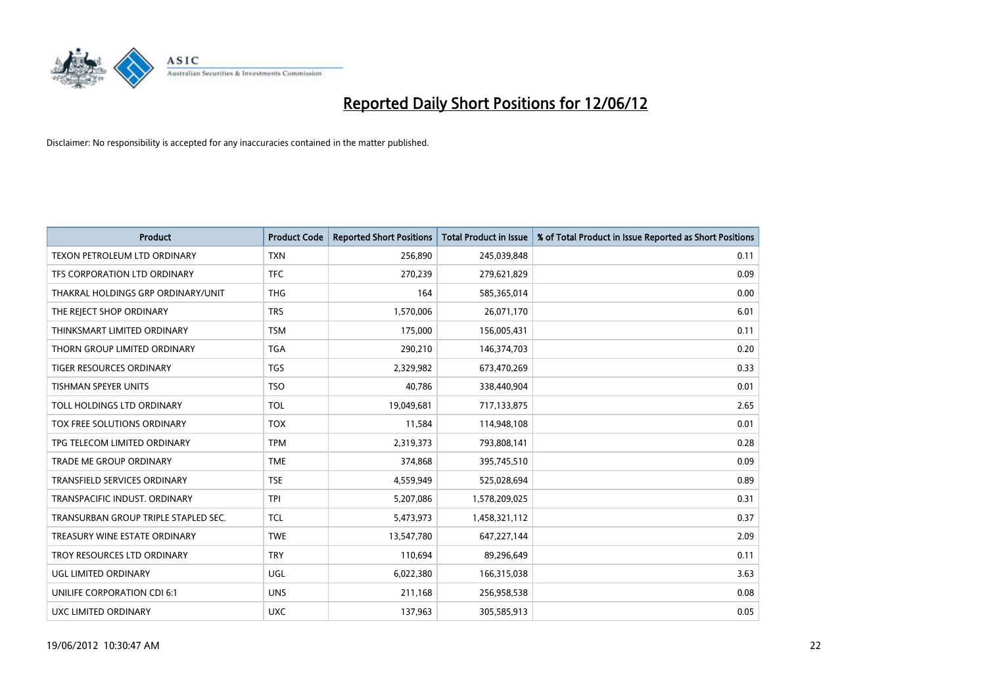

| <b>Product</b>                       | <b>Product Code</b> | <b>Reported Short Positions</b> | <b>Total Product in Issue</b> | % of Total Product in Issue Reported as Short Positions |
|--------------------------------------|---------------------|---------------------------------|-------------------------------|---------------------------------------------------------|
| TEXON PETROLEUM LTD ORDINARY         | <b>TXN</b>          | 256,890                         | 245,039,848                   | 0.11                                                    |
| TFS CORPORATION LTD ORDINARY         | <b>TFC</b>          | 270,239                         | 279,621,829                   | 0.09                                                    |
| THAKRAL HOLDINGS GRP ORDINARY/UNIT   | <b>THG</b>          | 164                             | 585,365,014                   | 0.00                                                    |
| THE REJECT SHOP ORDINARY             | <b>TRS</b>          | 1,570,006                       | 26,071,170                    | 6.01                                                    |
| THINKSMART LIMITED ORDINARY          | <b>TSM</b>          | 175,000                         | 156,005,431                   | 0.11                                                    |
| THORN GROUP LIMITED ORDINARY         | <b>TGA</b>          | 290,210                         | 146,374,703                   | 0.20                                                    |
| TIGER RESOURCES ORDINARY             | <b>TGS</b>          | 2,329,982                       | 673,470,269                   | 0.33                                                    |
| <b>TISHMAN SPEYER UNITS</b>          | <b>TSO</b>          | 40,786                          | 338,440,904                   | 0.01                                                    |
| TOLL HOLDINGS LTD ORDINARY           | <b>TOL</b>          | 19,049,681                      | 717,133,875                   | 2.65                                                    |
| TOX FREE SOLUTIONS ORDINARY          | <b>TOX</b>          | 11,584                          | 114,948,108                   | 0.01                                                    |
| TPG TELECOM LIMITED ORDINARY         | <b>TPM</b>          | 2,319,373                       | 793,808,141                   | 0.28                                                    |
| <b>TRADE ME GROUP ORDINARY</b>       | <b>TME</b>          | 374,868                         | 395,745,510                   | 0.09                                                    |
| TRANSFIELD SERVICES ORDINARY         | <b>TSE</b>          | 4,559,949                       | 525,028,694                   | 0.89                                                    |
| TRANSPACIFIC INDUST, ORDINARY        | <b>TPI</b>          | 5,207,086                       | 1,578,209,025                 | 0.31                                                    |
| TRANSURBAN GROUP TRIPLE STAPLED SEC. | <b>TCL</b>          | 5,473,973                       | 1,458,321,112                 | 0.37                                                    |
| TREASURY WINE ESTATE ORDINARY        | <b>TWE</b>          | 13,547,780                      | 647,227,144                   | 2.09                                                    |
| TROY RESOURCES LTD ORDINARY          | <b>TRY</b>          | 110,694                         | 89,296,649                    | 0.11                                                    |
| UGL LIMITED ORDINARY                 | UGL                 | 6,022,380                       | 166,315,038                   | 3.63                                                    |
| UNILIFE CORPORATION CDI 6:1          | <b>UNS</b>          | 211,168                         | 256,958,538                   | 0.08                                                    |
| UXC LIMITED ORDINARY                 | <b>UXC</b>          | 137,963                         | 305,585,913                   | 0.05                                                    |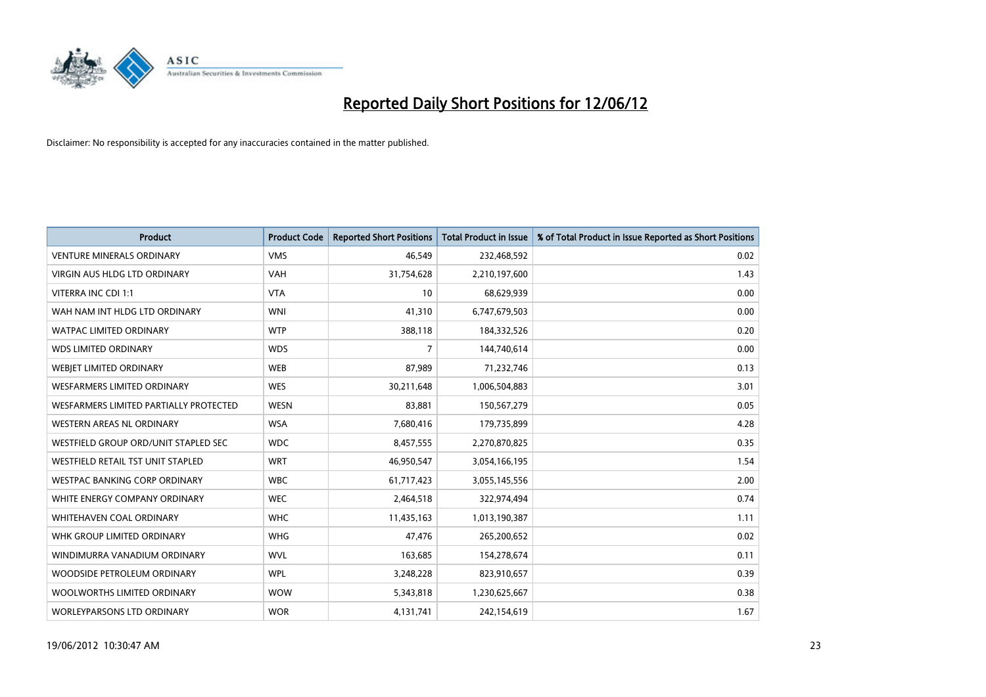

| <b>Product</b>                         | <b>Product Code</b> | <b>Reported Short Positions</b> | <b>Total Product in Issue</b> | % of Total Product in Issue Reported as Short Positions |
|----------------------------------------|---------------------|---------------------------------|-------------------------------|---------------------------------------------------------|
| <b>VENTURE MINERALS ORDINARY</b>       | <b>VMS</b>          | 46,549                          | 232,468,592                   | 0.02                                                    |
| <b>VIRGIN AUS HLDG LTD ORDINARY</b>    | <b>VAH</b>          | 31,754,628                      | 2,210,197,600                 | 1.43                                                    |
| VITERRA INC CDI 1:1                    | <b>VTA</b>          | 10                              | 68,629,939                    | 0.00                                                    |
| WAH NAM INT HLDG LTD ORDINARY          | <b>WNI</b>          | 41,310                          | 6,747,679,503                 | 0.00                                                    |
| <b>WATPAC LIMITED ORDINARY</b>         | <b>WTP</b>          | 388,118                         | 184,332,526                   | 0.20                                                    |
| <b>WDS LIMITED ORDINARY</b>            | <b>WDS</b>          | $\overline{7}$                  | 144,740,614                   | 0.00                                                    |
| WEBJET LIMITED ORDINARY                | <b>WEB</b>          | 87,989                          | 71,232,746                    | 0.13                                                    |
| <b>WESFARMERS LIMITED ORDINARY</b>     | <b>WES</b>          | 30,211,648                      | 1,006,504,883                 | 3.01                                                    |
| WESFARMERS LIMITED PARTIALLY PROTECTED | <b>WESN</b>         | 83,881                          | 150,567,279                   | 0.05                                                    |
| <b>WESTERN AREAS NL ORDINARY</b>       | <b>WSA</b>          | 7,680,416                       | 179,735,899                   | 4.28                                                    |
| WESTFIELD GROUP ORD/UNIT STAPLED SEC   | <b>WDC</b>          | 8,457,555                       | 2,270,870,825                 | 0.35                                                    |
| WESTFIELD RETAIL TST UNIT STAPLED      | <b>WRT</b>          | 46,950,547                      | 3,054,166,195                 | 1.54                                                    |
| WESTPAC BANKING CORP ORDINARY          | <b>WBC</b>          | 61,717,423                      | 3,055,145,556                 | 2.00                                                    |
| WHITE ENERGY COMPANY ORDINARY          | <b>WEC</b>          | 2,464,518                       | 322,974,494                   | 0.74                                                    |
| WHITEHAVEN COAL ORDINARY               | <b>WHC</b>          | 11,435,163                      | 1,013,190,387                 | 1.11                                                    |
| WHK GROUP LIMITED ORDINARY             | <b>WHG</b>          | 47,476                          | 265,200,652                   | 0.02                                                    |
| WINDIMURRA VANADIUM ORDINARY           | <b>WVL</b>          | 163,685                         | 154,278,674                   | 0.11                                                    |
| WOODSIDE PETROLEUM ORDINARY            | <b>WPL</b>          | 3,248,228                       | 823,910,657                   | 0.39                                                    |
| WOOLWORTHS LIMITED ORDINARY            | <b>WOW</b>          | 5,343,818                       | 1,230,625,667                 | 0.38                                                    |
| WORLEYPARSONS LTD ORDINARY             | <b>WOR</b>          | 4,131,741                       | 242,154,619                   | 1.67                                                    |